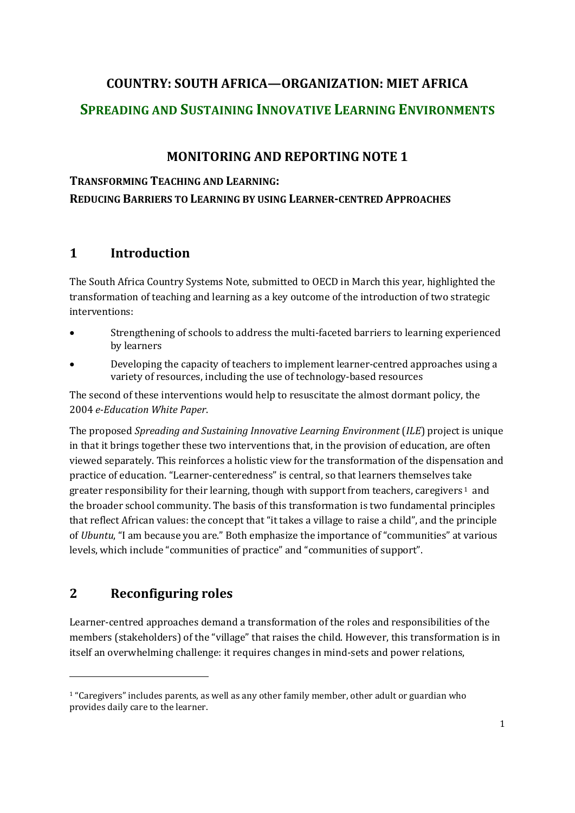# **COUNTRY: SOUTH AFRICA—ORGANIZATION: MIET AFRICA SPREADING AND SUSTAINING INNOVATIVE LEARNING ENVIRONMENTS**

## **MONITORING AND REPORTING NOTE 1**

**TRANSFORMING TEACHING AND LEARNING:**

**REDUCING BARRIERS TO LEARNING BY USING LEARNER-CENTRED APPROACHES**

## **1 Introduction**

The South Africa Country Systems Note, submitted to OECD in March this year, highlighted the transformation of teaching and learning as a key outcome of the introduction of two strategic interventions:

- Strengthening of schools to address the multi-faceted barriers to learning experienced by learners
- Developing the capacity of teachers to implement learner-centred approaches using a variety of resources, including the use of technology-based resources

The second of these interventions would help to resuscitate the almost dormant policy, the 2004 *e-Education White Paper*.

The proposed *Spreading and Sustaining Innovative Learning Environment* (*ILE*) project is unique in that it brings together these two interventions that, in the provision of education, are often viewed separately. This reinforces a holistic view for the transformation of the dispensation and practice of education. "Learner-centeredness" is central, so that learners themselves take greater responsibility for their learning, though with support from teachers, caregivers <sup>1</sup> and the broader school community. The basis of this transformation is two fundamental principles that reflect African values: the concept that "it takes a village to raise a child", and the principle of *Ubuntu*, "I am because you are." Both emphasize the importance of "communities" at various levels, which include "communities of practice" and "communities of support".

## **2 Reconfiguring roles**

-

Learner-centred approaches demand a transformation of the roles and responsibilities of the members (stakeholders) of the "village" that raises the child. However, this transformation is in itself an overwhelming challenge: it requires changes in mind-sets and power relations,

<sup>1</sup> "Caregivers" includes parents, as well as any other family member, other adult or guardian who provides daily care to the learner.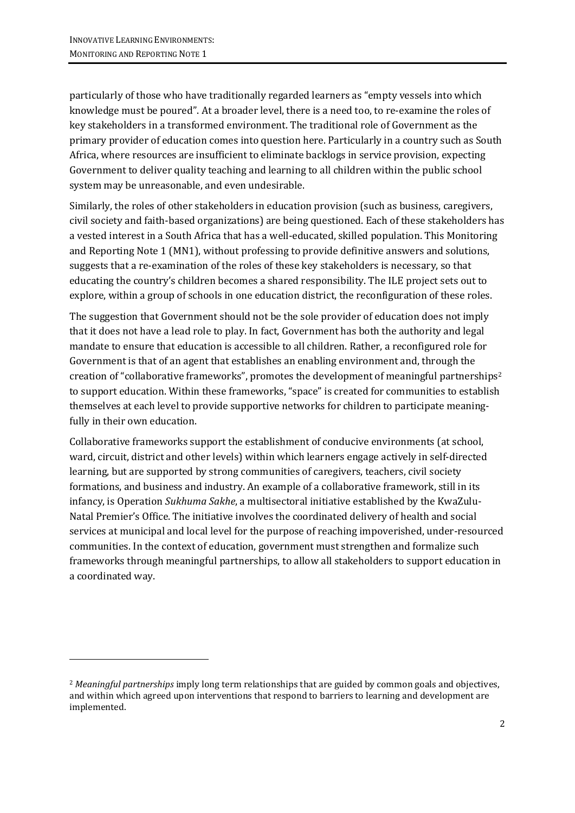-

particularly of those who have traditionally regarded learners as "empty vessels into which knowledge must be poured". At a broader level, there is a need too, to re-examine the roles of key stakeholders in a transformed environment. The traditional role of Government as the primary provider of education comes into question here. Particularly in a country such as South Africa, where resources are insufficient to eliminate backlogs in service provision, expecting Government to deliver quality teaching and learning to all children within the public school system may be unreasonable, and even undesirable.

Similarly, the roles of other stakeholders in education provision (such as business, caregivers, civil society and faith-based organizations) are being questioned. Each of these stakeholders has a vested interest in a South Africa that has a well-educated, skilled population. This Monitoring and Reporting Note 1 (MN1), without professing to provide definitive answers and solutions, suggests that a re-examination of the roles of these key stakeholders is necessary, so that educating the country's children becomes a shared responsibility. The ILE project sets out to explore, within a group of schools in one education district, the reconfiguration of these roles.

The suggestion that Government should not be the sole provider of education does not imply that it does not have a lead role to play. In fact, Government has both the authority and legal mandate to ensure that education is accessible to all children. Rather, a reconfigured role for Government is that of an agent that establishes an enabling environment and, through the creation of "collaborative frameworks", promotes the development of meaningful partnerships<sup>2</sup> to support education. Within these frameworks, "space" is created for communities to establish themselves at each level to provide supportive networks for children to participate meaningfully in their own education.

Collaborative frameworks support the establishment of conducive environments (at school, ward, circuit, district and other levels) within which learners engage actively in self-directed learning, but are supported by strong communities of caregivers, teachers, civil society formations, and business and industry. An example of a collaborative framework, still in its infancy, is Operation *Sukhuma Sakhe*, a multisectoral initiative established by the KwaZulu-Natal Premier's Office. The initiative involves the coordinated delivery of health and social services at municipal and local level for the purpose of reaching impoverished, under-resourced communities. In the context of education, government must strengthen and formalize such frameworks through meaningful partnerships, to allow all stakeholders to support education in a coordinated way.

<sup>2</sup> *Meaningful partnerships* imply long term relationships that are guided by common goals and objectives, and within which agreed upon interventions that respond to barriers to learning and development are implemented.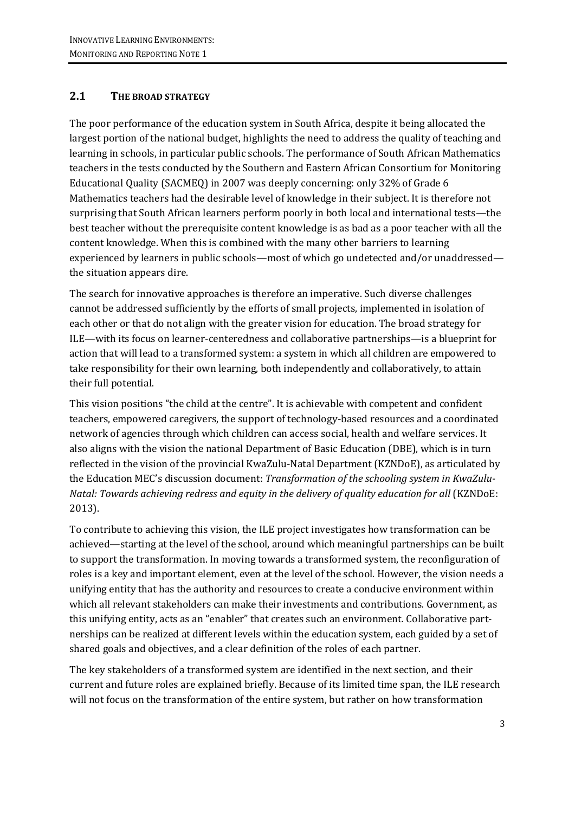### **2.1 THE BROAD STRATEGY**

The poor performance of the education system in South Africa, despite it being allocated the largest portion of the national budget, highlights the need to address the quality of teaching and learning in schools, in particular public schools. The performance of South African Mathematics teachers in the tests conducted by the Southern and Eastern African Consortium for Monitoring Educational Quality (SACMEQ) in 2007 was deeply concerning: only 32% of Grade 6 Mathematics teachers had the desirable level of knowledge in their subject. It is therefore not surprising that South African learners perform poorly in both local and international tests—the best teacher without the prerequisite content knowledge is as bad as a poor teacher with all the content knowledge. When this is combined with the many other barriers to learning experienced by learners in public schools—most of which go undetected and/or unaddressed the situation appears dire.

The search for innovative approaches is therefore an imperative. Such diverse challenges cannot be addressed sufficiently by the efforts of small projects, implemented in isolation of each other or that do not align with the greater vision for education. The broad strategy for ILE—with its focus on learner-centeredness and collaborative partnerships—is a blueprint for action that will lead to a transformed system: a system in which all children are empowered to take responsibility for their own learning, both independently and collaboratively, to attain their full potential.

This vision positions "the child at the centre". It is achievable with competent and confident teachers, empowered caregivers, the support of technology-based resources and a coordinated network of agencies through which children can access social, health and welfare services. It also aligns with the vision the national Department of Basic Education (DBE), which is in turn reflected in the vision of the provincial KwaZulu-Natal Department (KZNDoE), as articulated by the Education MEC's discussion document: *Transformation of the schooling system in KwaZulu-Natal: Towards achieving redress and equity in the delivery of quality education for all* (KZNDoE: 2013).

To contribute to achieving this vision, the ILE project investigates how transformation can be achieved—starting at the level of the school, around which meaningful partnerships can be built to support the transformation. In moving towards a transformed system, the reconfiguration of roles is a key and important element, even at the level of the school. However, the vision needs a unifying entity that has the authority and resources to create a conducive environment within which all relevant stakeholders can make their investments and contributions. Government, as this unifying entity, acts as an "enabler" that creates such an environment. Collaborative partnerships can be realized at different levels within the education system, each guided by a set of shared goals and objectives, and a clear definition of the roles of each partner.

The key stakeholders of a transformed system are identified in the next section, and their current and future roles are explained briefly. Because of its limited time span, the ILE research will not focus on the transformation of the entire system, but rather on how transformation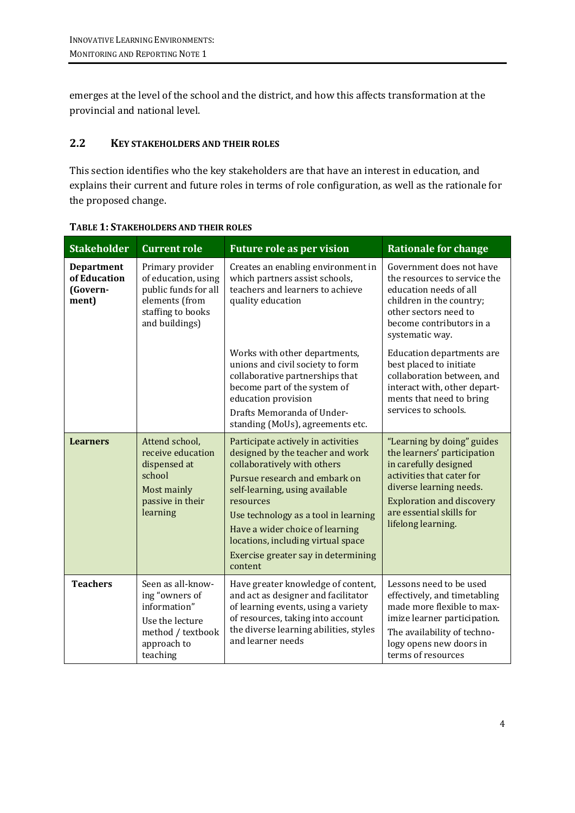emerges at the level of the school and the district, and how this affects transformation at the provincial and national level.

#### **2.2 KEY STAKEHOLDERS AND THEIR ROLES**

This section identifies who the key stakeholders are that have an interest in education, and explains their current and future roles in terms of role configuration, as well as the rationale for the proposed change.

| <b>Stakeholder</b>                                     | <b>Current role</b>                                                                                                      | <b>Future role as per vision</b>                                                                                                                                                                                                                                                                                                                         | <b>Rationale for change</b>                                                                                                                                                                                                      |
|--------------------------------------------------------|--------------------------------------------------------------------------------------------------------------------------|----------------------------------------------------------------------------------------------------------------------------------------------------------------------------------------------------------------------------------------------------------------------------------------------------------------------------------------------------------|----------------------------------------------------------------------------------------------------------------------------------------------------------------------------------------------------------------------------------|
| <b>Department</b><br>of Education<br>(Govern-<br>ment) | Primary provider<br>of education, using<br>public funds for all<br>elements (from<br>staffing to books<br>and buildings) | Creates an enabling environment in<br>which partners assist schools,<br>teachers and learners to achieve<br>quality education                                                                                                                                                                                                                            | Government does not have<br>the resources to service the<br>education needs of all<br>children in the country;<br>other sectors need to<br>become contributors in a<br>systematic way.                                           |
|                                                        |                                                                                                                          | Works with other departments,<br>unions and civil society to form<br>collaborative partnerships that<br>become part of the system of<br>education provision<br>Drafts Memoranda of Under-<br>standing (MoUs), agreements etc.                                                                                                                            | <b>Education departments are</b><br>best placed to initiate<br>collaboration between, and<br>interact with, other depart-<br>ments that need to bring<br>services to schools.                                                    |
| <b>Learners</b>                                        | Attend school,<br>receive education<br>dispensed at<br>school<br>Most mainly<br>passive in their<br>learning             | Participate actively in activities<br>designed by the teacher and work<br>collaboratively with others<br>Pursue research and embark on<br>self-learning, using available<br>resources<br>Use technology as a tool in learning<br>Have a wider choice of learning<br>locations, including virtual space<br>Exercise greater say in determining<br>content | "Learning by doing" guides<br>the learners' participation<br>in carefully designed<br>activities that cater for<br>diverse learning needs.<br><b>Exploration and discovery</b><br>are essential skills for<br>lifelong learning. |
| <b>Teachers</b>                                        | Seen as all-know-<br>ing "owners of<br>information"<br>Use the lecture<br>method / textbook<br>approach to<br>teaching   | Have greater knowledge of content,<br>and act as designer and facilitator<br>of learning events, using a variety<br>of resources, taking into account<br>the diverse learning abilities, styles<br>and learner needs                                                                                                                                     | Lessons need to be used<br>effectively, and timetabling<br>made more flexible to max-<br>imize learner participation.<br>The availability of techno-<br>logy opens new doors in<br>terms of resources                            |

**TABLE 1: STAKEHOLDERS AND THEIR ROLES**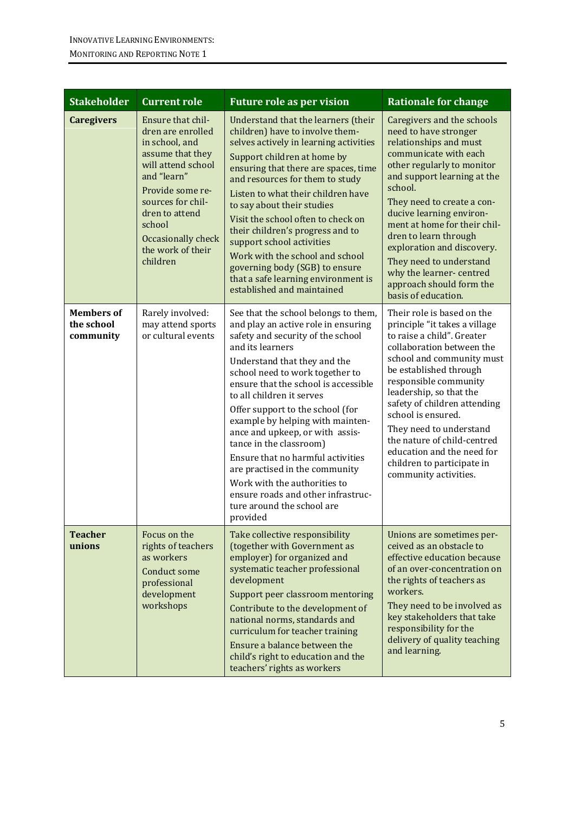| <b>Stakeholder</b>                           | <b>Current role</b>                                                                                                                                                                                                                           | <b>Future role as per vision</b>                                                                                                                                                                                                                                                                                                                                                                                                                                                                                                                                                                          | <b>Rationale for change</b>                                                                                                                                                                                                                                                                                                                                                                                                              |
|----------------------------------------------|-----------------------------------------------------------------------------------------------------------------------------------------------------------------------------------------------------------------------------------------------|-----------------------------------------------------------------------------------------------------------------------------------------------------------------------------------------------------------------------------------------------------------------------------------------------------------------------------------------------------------------------------------------------------------------------------------------------------------------------------------------------------------------------------------------------------------------------------------------------------------|------------------------------------------------------------------------------------------------------------------------------------------------------------------------------------------------------------------------------------------------------------------------------------------------------------------------------------------------------------------------------------------------------------------------------------------|
| <b>Caregivers</b>                            | Ensure that chil-<br>dren are enrolled<br>in school, and<br>assume that they<br>will attend school<br>and "learn"<br>Provide some re-<br>sources for chil-<br>dren to attend<br>school<br>Occasionally check<br>the work of their<br>children | Understand that the learners (their<br>children) have to involve them-<br>selves actively in learning activities<br>Support children at home by<br>ensuring that there are spaces, time<br>and resources for them to study<br>Listen to what their children have<br>to say about their studies<br>Visit the school often to check on<br>their children's progress and to<br>support school activities<br>Work with the school and school<br>governing body (SGB) to ensure<br>that a safe learning environment is<br>established and maintained                                                           | Caregivers and the schools<br>need to have stronger<br>relationships and must<br>communicate with each<br>other regularly to monitor<br>and support learning at the<br>school.<br>They need to create a con-<br>ducive learning environ-<br>ment at home for their chil-<br>dren to learn through<br>exploration and discovery.<br>They need to understand<br>why the learner-centred<br>approach should form the<br>basis of education. |
| <b>Members of</b><br>the school<br>community | Rarely involved:<br>may attend sports<br>or cultural events                                                                                                                                                                                   | See that the school belongs to them,<br>and play an active role in ensuring<br>safety and security of the school<br>and its learners<br>Understand that they and the<br>school need to work together to<br>ensure that the school is accessible<br>to all children it serves<br>Offer support to the school (for<br>example by helping with mainten-<br>ance and upkeep, or with assis-<br>tance in the classroom)<br>Ensure that no harmful activities<br>are practised in the community<br>Work with the authorities to<br>ensure roads and other infrastruc-<br>ture around the school are<br>provided | Their role is based on the<br>principle "it takes a village<br>to raise a child". Greater<br>collaboration between the<br>school and community must<br>be established through<br>responsible community<br>leadership, so that the<br>safety of children attending<br>school is ensured.<br>They need to understand<br>the nature of child-centred<br>education and the need for<br>children to participate in<br>community activities.   |
| <b>Teacher</b><br>unions                     | Focus on the<br>rights of teachers<br>as workers<br><b>Conduct some</b><br>professional<br>development<br>workshops                                                                                                                           | Take collective responsibility<br>(together with Government as<br>employer) for organized and<br>systematic teacher professional<br>development<br>Support peer classroom mentoring<br>Contribute to the development of<br>national norms, standards and<br>curriculum for teacher training<br>Ensure a balance between the<br>child's right to education and the<br>teachers' rights as workers                                                                                                                                                                                                          | Unions are sometimes per-<br>ceived as an obstacle to<br>effective education because<br>of an over-concentration on<br>the rights of teachers as<br>workers.<br>They need to be involved as<br>key stakeholders that take<br>responsibility for the<br>delivery of quality teaching<br>and learning.                                                                                                                                     |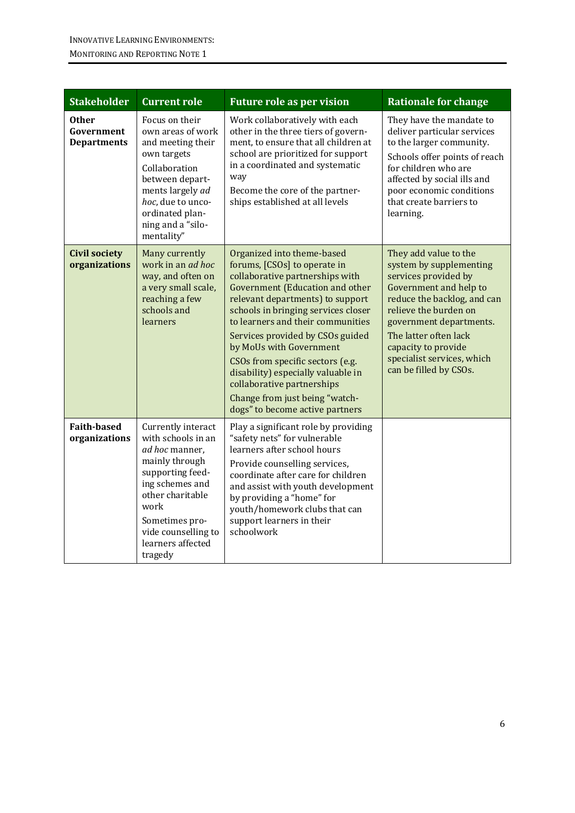| <b>Stakeholder</b>                               | <b>Current role</b>                                                                                                                                                                                                      | <b>Future role as per vision</b>                                                                                                                                                                                                                                                                                                                                                                                                                                                                    | <b>Rationale for change</b>                                                                                                                                                                                                                                                                   |
|--------------------------------------------------|--------------------------------------------------------------------------------------------------------------------------------------------------------------------------------------------------------------------------|-----------------------------------------------------------------------------------------------------------------------------------------------------------------------------------------------------------------------------------------------------------------------------------------------------------------------------------------------------------------------------------------------------------------------------------------------------------------------------------------------------|-----------------------------------------------------------------------------------------------------------------------------------------------------------------------------------------------------------------------------------------------------------------------------------------------|
| <b>Other</b><br>Government<br><b>Departments</b> | Focus on their<br>own areas of work<br>and meeting their<br>own targets<br>Collaboration<br>between depart-<br>ments largely ad<br>hoc, due to unco-<br>ordinated plan-<br>ning and a "silo-<br>mentality"               | Work collaboratively with each<br>other in the three tiers of govern-<br>ment, to ensure that all children at<br>school are prioritized for support<br>in a coordinated and systematic<br>way<br>Become the core of the partner-<br>ships established at all levels                                                                                                                                                                                                                                 | They have the mandate to<br>deliver particular services<br>to the larger community.<br>Schools offer points of reach<br>for children who are<br>affected by social ills and<br>poor economic conditions<br>that create barriers to<br>learning.                                               |
| <b>Civil society</b><br>organizations            | Many currently<br>work in an <i>ad hoc</i><br>way, and often on<br>a very small scale,<br>reaching a few<br>schools and<br>learners                                                                                      | Organized into theme-based<br>forums, [CSOs] to operate in<br>collaborative partnerships with<br><b>Government (Education and other</b><br>relevant departments) to support<br>schools in bringing services closer<br>to learners and their communities<br>Services provided by CSOs guided<br>by MoUs with Government<br>CSOs from specific sectors (e.g.<br>disability) especially valuable in<br>collaborative partnerships<br>Change from just being "watch-<br>dogs" to become active partners | They add value to the<br>system by supplementing<br>services provided by<br>Government and help to<br>reduce the backlog, and can<br>relieve the burden on<br>government departments.<br>The latter often lack<br>capacity to provide<br>specialist services, which<br>can be filled by CSOs. |
| <b>Faith-based</b><br>organizations              | Currently interact<br>with schools in an<br>ad hoc manner,<br>mainly through<br>supporting feed-<br>ing schemes and<br>other charitable<br>work<br>Sometimes pro-<br>vide counselling to<br>learners affected<br>tragedy | Play a significant role by providing<br>"safety nets" for vulnerable<br>learners after school hours<br>Provide counselling services,<br>coordinate after care for children<br>and assist with youth development<br>by providing a "home" for<br>youth/homework clubs that can<br>support learners in their<br>schoolwork                                                                                                                                                                            |                                                                                                                                                                                                                                                                                               |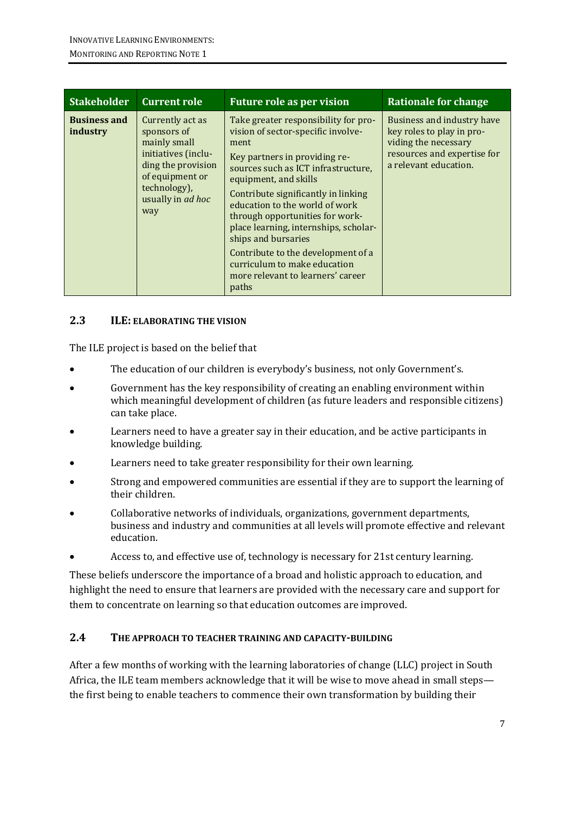| <b>Stakeholder</b>              | <b>Current role</b>                                                                                                                                         | <b>Future role as per vision</b>                                                                                                                                                                                                                                                                                                                                                                                                                                                    | <b>Rationale for change</b>                                                                                                             |
|---------------------------------|-------------------------------------------------------------------------------------------------------------------------------------------------------------|-------------------------------------------------------------------------------------------------------------------------------------------------------------------------------------------------------------------------------------------------------------------------------------------------------------------------------------------------------------------------------------------------------------------------------------------------------------------------------------|-----------------------------------------------------------------------------------------------------------------------------------------|
| <b>Business and</b><br>industry | Currently act as<br>sponsors of<br>mainly small<br>initiatives (inclu-<br>ding the provision<br>of equipment or<br>technology),<br>usually in ad hoc<br>way | Take greater responsibility for pro-<br>vision of sector-specific involve-<br>ment<br>Key partners in providing re-<br>sources such as ICT infrastructure,<br>equipment, and skills<br>Contribute significantly in linking<br>education to the world of work<br>through opportunities for work-<br>place learning, internships, scholar-<br>ships and bursaries<br>Contribute to the development of a<br>curriculum to make education<br>more relevant to learners' career<br>paths | Business and industry have<br>key roles to play in pro-<br>viding the necessary<br>resources and expertise for<br>a relevant education. |

#### **2.3 ILE: ELABORATING THE VISION**

The ILE project is based on the belief that

- The education of our children is everybody's business, not only Government's.
- Government has the key responsibility of creating an enabling environment within which meaningful development of children (as future leaders and responsible citizens) can take place.
- Learners need to have a greater say in their education, and be active participants in knowledge building.
- Learners need to take greater responsibility for their own learning.
- Strong and empowered communities are essential if they are to support the learning of their children.
- Collaborative networks of individuals, organizations, government departments, business and industry and communities at all levels will promote effective and relevant education.
- Access to, and effective use of, technology is necessary for 21st century learning.

These beliefs underscore the importance of a broad and holistic approach to education, and highlight the need to ensure that learners are provided with the necessary care and support for them to concentrate on learning so that education outcomes are improved.

#### **2.4 THE APPROACH TO TEACHER TRAINING AND CAPACITY-BUILDING**

After a few months of working with the learning laboratories of change (LLC) project in South Africa, the ILE team members acknowledge that it will be wise to move ahead in small steps the first being to enable teachers to commence their own transformation by building their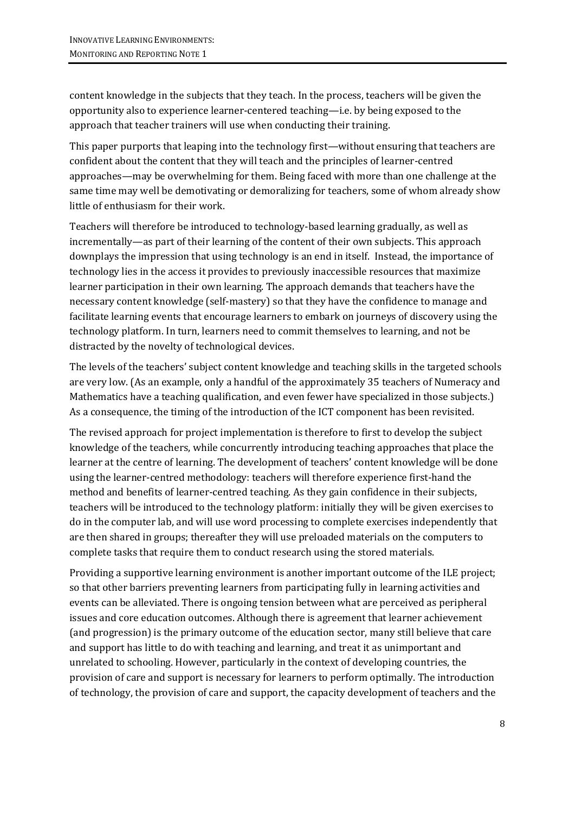content knowledge in the subjects that they teach. In the process, teachers will be given the opportunity also to experience learner-centered teaching—i.e. by being exposed to the approach that teacher trainers will use when conducting their training.

This paper purports that leaping into the technology first—without ensuring that teachers are confident about the content that they will teach and the principles of learner-centred approaches—may be overwhelming for them. Being faced with more than one challenge at the same time may well be demotivating or demoralizing for teachers, some of whom already show little of enthusiasm for their work.

Teachers will therefore be introduced to technology-based learning gradually, as well as incrementally—as part of their learning of the content of their own subjects. This approach downplays the impression that using technology is an end in itself. Instead, the importance of technology lies in the access it provides to previously inaccessible resources that maximize learner participation in their own learning. The approach demands that teachers have the necessary content knowledge (self-mastery) so that they have the confidence to manage and facilitate learning events that encourage learners to embark on journeys of discovery using the technology platform. In turn, learners need to commit themselves to learning, and not be distracted by the novelty of technological devices.

The levels of the teachers' subject content knowledge and teaching skills in the targeted schools are very low. (As an example, only a handful of the approximately 35 teachers of Numeracy and Mathematics have a teaching qualification, and even fewer have specialized in those subjects.) As a consequence, the timing of the introduction of the ICT component has been revisited.

The revised approach for project implementation is therefore to first to develop the subject knowledge of the teachers, while concurrently introducing teaching approaches that place the learner at the centre of learning. The development of teachers' content knowledge will be done using the learner-centred methodology: teachers will therefore experience first-hand the method and benefits of learner-centred teaching. As they gain confidence in their subjects, teachers will be introduced to the technology platform: initially they will be given exercises to do in the computer lab, and will use word processing to complete exercises independently that are then shared in groups; thereafter they will use preloaded materials on the computers to complete tasks that require them to conduct research using the stored materials.

Providing a supportive learning environment is another important outcome of the ILE project; so that other barriers preventing learners from participating fully in learning activities and events can be alleviated. There is ongoing tension between what are perceived as peripheral issues and core education outcomes. Although there is agreement that learner achievement (and progression) is the primary outcome of the education sector, many still believe that care and support has little to do with teaching and learning, and treat it as unimportant and unrelated to schooling. However, particularly in the context of developing countries, the provision of care and support is necessary for learners to perform optimally. The introduction of technology, the provision of care and support, the capacity development of teachers and the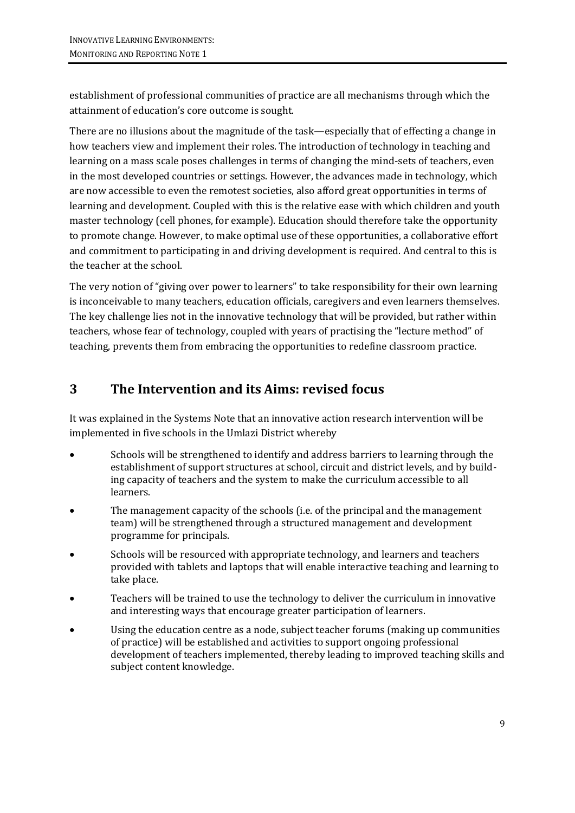establishment of professional communities of practice are all mechanisms through which the attainment of education's core outcome is sought.

There are no illusions about the magnitude of the task—especially that of effecting a change in how teachers view and implement their roles. The introduction of technology in teaching and learning on a mass scale poses challenges in terms of changing the mind-sets of teachers, even in the most developed countries or settings. However, the advances made in technology, which are now accessible to even the remotest societies, also afford great opportunities in terms of learning and development. Coupled with this is the relative ease with which children and youth master technology (cell phones, for example). Education should therefore take the opportunity to promote change. However, to make optimal use of these opportunities, a collaborative effort and commitment to participating in and driving development is required. And central to this is the teacher at the school.

The very notion of "giving over power to learners" to take responsibility for their own learning is inconceivable to many teachers, education officials, caregivers and even learners themselves. The key challenge lies not in the innovative technology that will be provided, but rather within teachers, whose fear of technology, coupled with years of practising the "lecture method" of teaching, prevents them from embracing the opportunities to redefine classroom practice.

## **3 The Intervention and its Aims: revised focus**

It was explained in the Systems Note that an innovative action research intervention will be implemented in five schools in the Umlazi District whereby

- Schools will be strengthened to identify and address barriers to learning through the establishment of support structures at school, circuit and district levels, and by building capacity of teachers and the system to make the curriculum accessible to all learners.
- The management capacity of the schools (i.e. of the principal and the management team) will be strengthened through a structured management and development programme for principals.
- Schools will be resourced with appropriate technology, and learners and teachers provided with tablets and laptops that will enable interactive teaching and learning to take place.
- Teachers will be trained to use the technology to deliver the curriculum in innovative and interesting ways that encourage greater participation of learners.
- Using the education centre as a node, subject teacher forums (making up communities of practice) will be established and activities to support ongoing professional development of teachers implemented, thereby leading to improved teaching skills and subject content knowledge.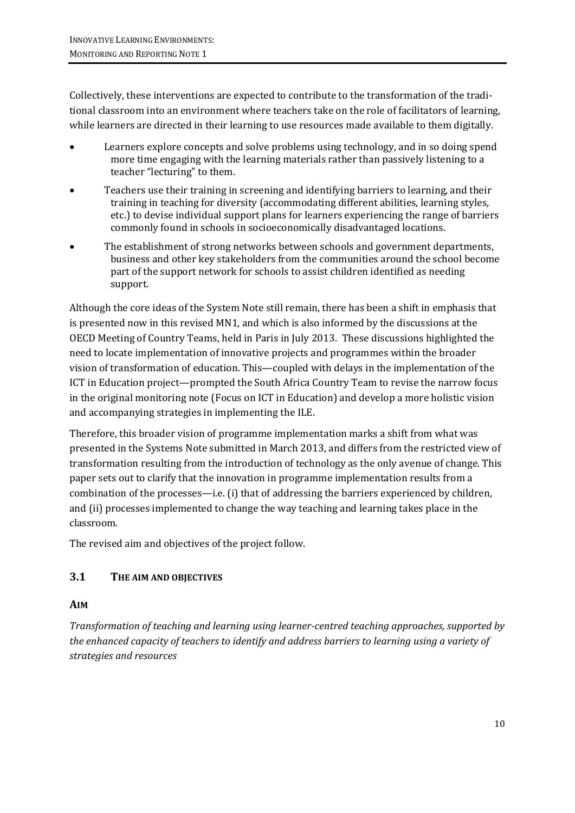Collectively, these interventions are expected to contribute to the transformation of the traditional classroom into an environment where teachers take on the role of facilitators of learning, while learners are directed in their learning to use resources made available to them digitally.

- Learners explore concepts and solve problems using technology, and in so doing spend more time engaging with the learning materials rather than passively listening to a teacher "lecturing" to them.
- Teachers use their training in screening and identifying barriers to learning, and their training in teaching for diversity (accommodating different abilities, learning styles, etc.) to devise individual support plans for learners experiencing the range of barriers commonly found in schools in socioeconomically disadvantaged locations.
- The establishment of strong networks between schools and government departments, business and other key stakeholders from the communities around the school become part of the support network for schools to assist children identified as needing support.

Although the core ideas of the System Note still remain, there has been a shift in emphasis that is presented now in this revised MN1, and which is also informed by the discussions at the OECD Meeting of Country Teams, held in Paris in July 2013. These discussions highlighted the need to locate implementation of innovative projects and programmes within the broader vision of transformation of education. This—coupled with delays in the implementation of the ICT in Education project—prompted the South Africa Country Team to revise the narrow focus in the original monitoring note (Focus on ICT in Education) and develop a more holistic vision and accompanying strategies in implementing the ILE.

Therefore, this broader vision of programme implementation marks a shift from what was presented in the Systems Note submitted in March 2013, and differs from the restricted view of transformation resulting from the introduction of technology as the only avenue of change. This paper sets out to clarify that the innovation in programme implementation results from a combination of the processes—i.e. (i) that of addressing the barriers experienced by children, and (ii) processes implemented to change the way teaching and learning takes place in the classroom.

The revised aim and objectives of the project follow.

### **3.1 THE AIM AND OBJECTIVES**

#### **AIM**

*Transformation of teaching and learning using learner-centred teaching approaches, supported by the enhanced capacity of teachers to identify and address barriers to learning using a variety of strategies and resources*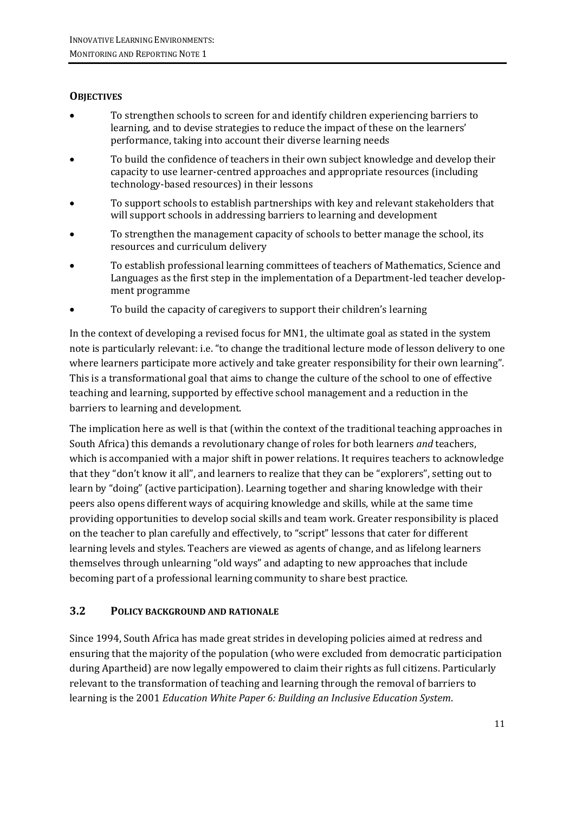### **OBJECTIVES**

- To strengthen schools to screen for and identify children experiencing barriers to learning, and to devise strategies to reduce the impact of these on the learners' performance, taking into account their diverse learning needs
- To build the confidence of teachers in their own subject knowledge and develop their capacity to use learner-centred approaches and appropriate resources (including technology-based resources) in their lessons
- To support schools to establish partnerships with key and relevant stakeholders that will support schools in addressing barriers to learning and development
- To strengthen the management capacity of schools to better manage the school, its resources and curriculum delivery
- To establish professional learning committees of teachers of Mathematics, Science and Languages as the first step in the implementation of a Department-led teacher development programme
- To build the capacity of caregivers to support their children's learning

In the context of developing a revised focus for MN1, the ultimate goal as stated in the system note is particularly relevant: i.e. "to change the traditional lecture mode of lesson delivery to one where learners participate more actively and take greater responsibility for their own learning". This is a transformational goal that aims to change the culture of the school to one of effective teaching and learning, supported by effective school management and a reduction in the barriers to learning and development.

The implication here as well is that (within the context of the traditional teaching approaches in South Africa) this demands a revolutionary change of roles for both learners *and* teachers, which is accompanied with a major shift in power relations. It requires teachers to acknowledge that they "don't know it all", and learners to realize that they can be "explorers", setting out to learn by "doing" (active participation). Learning together and sharing knowledge with their peers also opens different ways of acquiring knowledge and skills, while at the same time providing opportunities to develop social skills and team work. Greater responsibility is placed on the teacher to plan carefully and effectively, to "script" lessons that cater for different learning levels and styles. Teachers are viewed as agents of change, and as lifelong learners themselves through unlearning "old ways" and adapting to new approaches that include becoming part of a professional learning community to share best practice.

#### **3.2 POLICY BACKGROUND AND RATIONALE**

Since 1994, South Africa has made great strides in developing policies aimed at redress and ensuring that the majority of the population (who were excluded from democratic participation during Apartheid) are now legally empowered to claim their rights as full citizens. Particularly relevant to the transformation of teaching and learning through the removal of barriers to learning is the 2001 *Education White Paper 6: Building an Inclusive Education System*.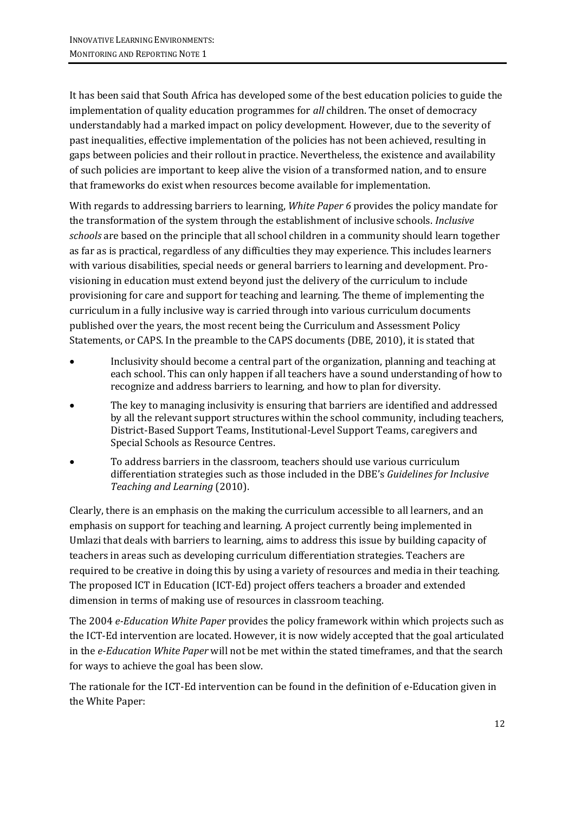It has been said that South Africa has developed some of the best education policies to guide the implementation of quality education programmes for *all* children. The onset of democracy understandably had a marked impact on policy development. However, due to the severity of past inequalities, effective implementation of the policies has not been achieved, resulting in gaps between policies and their rollout in practice. Nevertheless, the existence and availability of such policies are important to keep alive the vision of a transformed nation, and to ensure that frameworks do exist when resources become available for implementation.

With regards to addressing barriers to learning, *White Paper 6* provides the policy mandate for the transformation of the system through the establishment of inclusive schools. *Inclusive schools* are based on the principle that all school children in a community should learn together as far as is practical, regardless of any difficulties they may experience. This includes learners with various disabilities, special needs or general barriers to learning and development. Provisioning in education must extend beyond just the delivery of the curriculum to include provisioning for care and support for teaching and learning. The theme of implementing the curriculum in a fully inclusive way is carried through into various curriculum documents published over the years, the most recent being the Curriculum and Assessment Policy Statements, or CAPS. In the preamble to the CAPS documents (DBE, 2010), it is stated that

- Inclusivity should become a central part of the organization, planning and teaching at each school. This can only happen if all teachers have a sound understanding of how to recognize and address barriers to learning, and how to plan for diversity.
- The key to managing inclusivity is ensuring that barriers are identified and addressed by all the relevant support structures within the school community, including teachers, District-Based Support Teams, Institutional-Level Support Teams, caregivers and Special Schools as Resource Centres.
- To address barriers in the classroom, teachers should use various curriculum differentiation strategies such as those included in the DBE's *Guidelines for Inclusive Teaching and Learning* (2010).

Clearly, there is an emphasis on the making the curriculum accessible to all learners, and an emphasis on support for teaching and learning. A project currently being implemented in Umlazi that deals with barriers to learning, aims to address this issue by building capacity of teachers in areas such as developing curriculum differentiation strategies. Teachers are required to be creative in doing this by using a variety of resources and media in their teaching. The proposed ICT in Education (ICT-Ed) project offers teachers a broader and extended dimension in terms of making use of resources in classroom teaching.

The 2004 *e-Education White Paper* provides the policy framework within which projects such as the ICT-Ed intervention are located. However, it is now widely accepted that the goal articulated in the *e-Education White Paper* will not be met within the stated timeframes, and that the search for ways to achieve the goal has been slow.

The rationale for the ICT-Ed intervention can be found in the definition of e-Education given in the White Paper: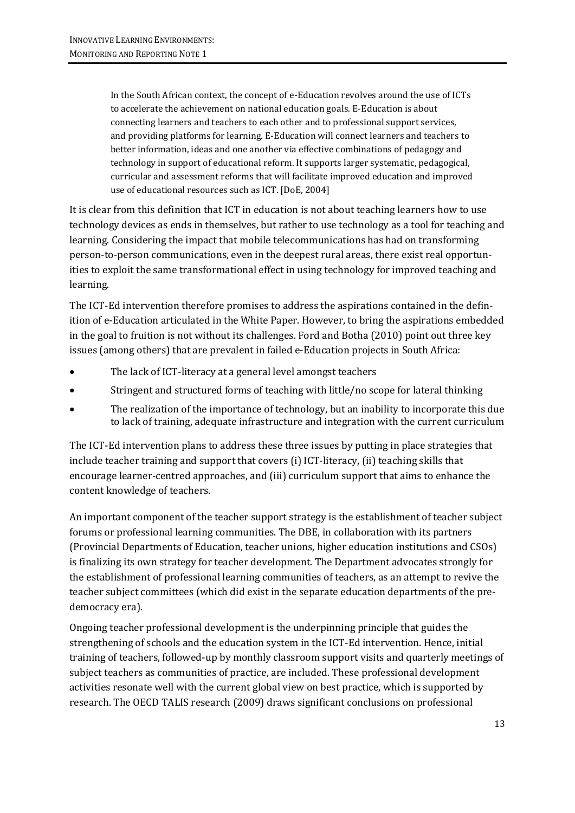In the South African context, the concept of e-Education revolves around the use of ICTs to accelerate the achievement on national education goals. E-Education is about connecting learners and teachers to each other and to professional support services, and providing platforms for learning. E-Education will connect learners and teachers to better information, ideas and one another via effective combinations of pedagogy and technology in support of educational reform. It supports larger systematic, pedagogical, curricular and assessment reforms that will facilitate improved education and improved use of educational resources such as ICT. [DoE, 2004]

It is clear from this definition that ICT in education is not about teaching learners how to use technology devices as ends in themselves, but rather to use technology as a tool for teaching and learning. Considering the impact that mobile telecommunications has had on transforming person-to-person communications, even in the deepest rural areas, there exist real opportunities to exploit the same transformational effect in using technology for improved teaching and learning.

The ICT-Ed intervention therefore promises to address the aspirations contained in the definition of e-Education articulated in the White Paper. However, to bring the aspirations embedded in the goal to fruition is not without its challenges. Ford and Botha (2010) point out three key issues (among others) that are prevalent in failed e-Education projects in South Africa:

- The lack of ICT-literacy at a general level amongst teachers
- Stringent and structured forms of teaching with little/no scope for lateral thinking
- The realization of the importance of technology, but an inability to incorporate this due to lack of training, adequate infrastructure and integration with the current curriculum

The ICT-Ed intervention plans to address these three issues by putting in place strategies that include teacher training and support that covers (i) ICT-literacy, (ii) teaching skills that encourage learner-centred approaches, and (iii) curriculum support that aims to enhance the content knowledge of teachers.

An important component of the teacher support strategy is the establishment of teacher subject forums or professional learning communities. The DBE, in collaboration with its partners (Provincial Departments of Education, teacher unions, higher education institutions and CSOs) is finalizing its own strategy for teacher development. The Department advocates strongly for the establishment of professional learning communities of teachers, as an attempt to revive the teacher subject committees (which did exist in the separate education departments of the predemocracy era).

Ongoing teacher professional development is the underpinning principle that guides the strengthening of schools and the education system in the ICT-Ed intervention. Hence, initial training of teachers, followed-up by monthly classroom support visits and quarterly meetings of subject teachers as communities of practice, are included. These professional development activities resonate well with the current global view on best practice, which is supported by research. The OECD TALIS research (2009) draws significant conclusions on professional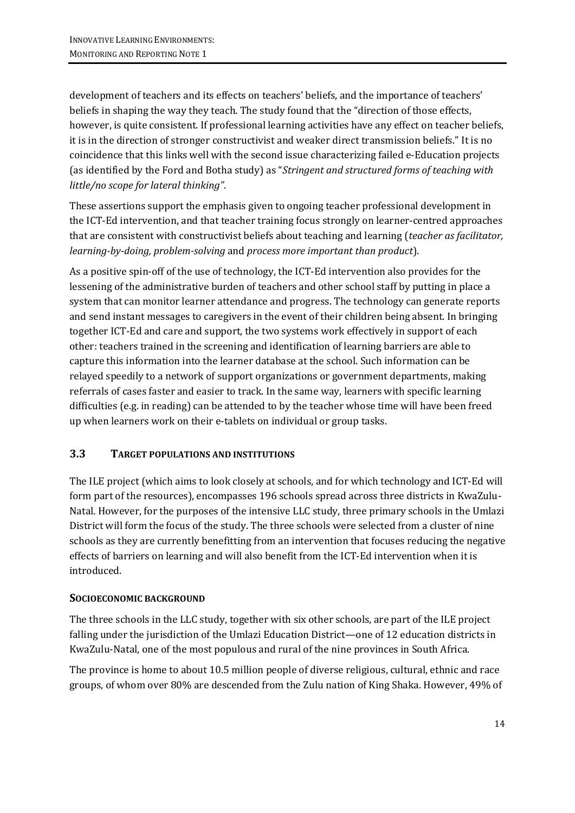development of teachers and its effects on teachers' beliefs, and the importance of teachers' beliefs in shaping the way they teach. The study found that the "direction of those effects, however, is quite consistent. If professional learning activities have any effect on teacher beliefs, it is in the direction of stronger constructivist and weaker direct transmission beliefs." It is no coincidence that this links well with the second issue characterizing failed e-Education projects (as identified by the Ford and Botha study) as "*Stringent and structured forms of teaching with little/no scope for lateral thinking"*.

These assertions support the emphasis given to ongoing teacher professional development in the ICT-Ed intervention, and that teacher training focus strongly on learner-centred approaches that are consistent with constructivist beliefs about teaching and learning (*teacher as facilitator, learning-by-doing, problem-solving* and *process more important than product*).

As a positive spin-off of the use of technology, the ICT-Ed intervention also provides for the lessening of the administrative burden of teachers and other school staff by putting in place a system that can monitor learner attendance and progress. The technology can generate reports and send instant messages to caregivers in the event of their children being absent. In bringing together ICT-Ed and care and support, the two systems work effectively in support of each other: teachers trained in the screening and identification of learning barriers are able to capture this information into the learner database at the school. Such information can be relayed speedily to a network of support organizations or government departments, making referrals of cases faster and easier to track. In the same way, learners with specific learning difficulties (e.g. in reading) can be attended to by the teacher whose time will have been freed up when learners work on their e-tablets on individual or group tasks.

#### **3.3 TARGET POPULATIONS AND INSTITUTIONS**

The ILE project (which aims to look closely at schools, and for which technology and ICT-Ed will form part of the resources), encompasses 196 schools spread across three districts in KwaZulu-Natal. However, for the purposes of the intensive LLC study, three primary schools in the Umlazi District will form the focus of the study. The three schools were selected from a cluster of nine schools as they are currently benefitting from an intervention that focuses reducing the negative effects of barriers on learning and will also benefit from the ICT-Ed intervention when it is introduced.

#### **SOCIOECONOMIC BACKGROUND**

The three schools in the LLC study, together with six other schools, are part of the ILE project falling under the jurisdiction of the Umlazi Education District—one of 12 education districts in KwaZulu-Natal, one of the most populous and rural of the nine provinces in South Africa.

The province is home to about 10.5 million people of diverse religious, cultural, ethnic and race groups, of whom over 80% are descended from the Zulu nation of King Shaka. However, 49% of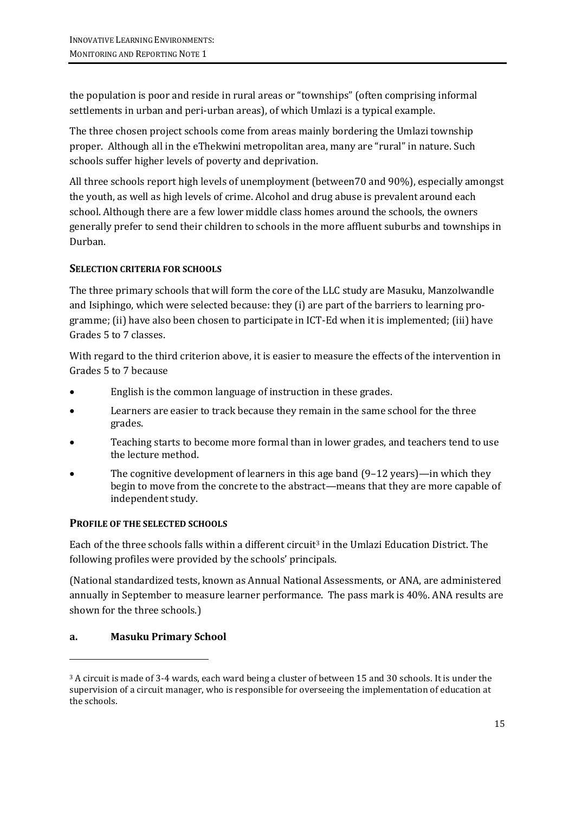the population is poor and reside in rural areas or "townships" (often comprising informal settlements in urban and peri-urban areas), of which Umlazi is a typical example.

The three chosen project schools come from areas mainly bordering the Umlazi township proper. Although all in the eThekwini metropolitan area, many are "rural" in nature. Such schools suffer higher levels of poverty and deprivation.

All three schools report high levels of unemployment (between70 and 90%), especially amongst the youth, as well as high levels of crime. Alcohol and drug abuse is prevalent around each school. Although there are a few lower middle class homes around the schools, the owners generally prefer to send their children to schools in the more affluent suburbs and townships in Durban.

#### **SELECTION CRITERIA FOR SCHOOLS**

The three primary schools that will form the core of the LLC study are Masuku, Manzolwandle and Isiphingo, which were selected because: they (i) are part of the barriers to learning programme; (ii) have also been chosen to participate in ICT-Ed when it is implemented; (iii) have Grades 5 to 7 classes.

With regard to the third criterion above, it is easier to measure the effects of the intervention in Grades 5 to 7 because

- English is the common language of instruction in these grades.
- Learners are easier to track because they remain in the same school for the three grades.
- Teaching starts to become more formal than in lower grades, and teachers tend to use the lecture method.
- The cognitive development of learners in this age band  $(9-12 \text{ years})$ —in which they begin to move from the concrete to the abstract—means that they are more capable of independent study.

#### **PROFILE OF THE SELECTED SCHOOLS**

Each of the three schools falls within a different circuit<sup>3</sup> in the Umlazi Education District. The following profiles were provided by the schools' principals.

(National standardized tests, known as Annual National Assessments, or ANA, are administered annually in September to measure learner performance. The pass mark is 40%. ANA results are shown for the three schools.)

#### **a. Masuku Primary School**

-

<sup>3</sup> A circuit is made of 3-4 wards, each ward being a cluster of between 15 and 30 schools. It is under the supervision of a circuit manager, who is responsible for overseeing the implementation of education at the schools.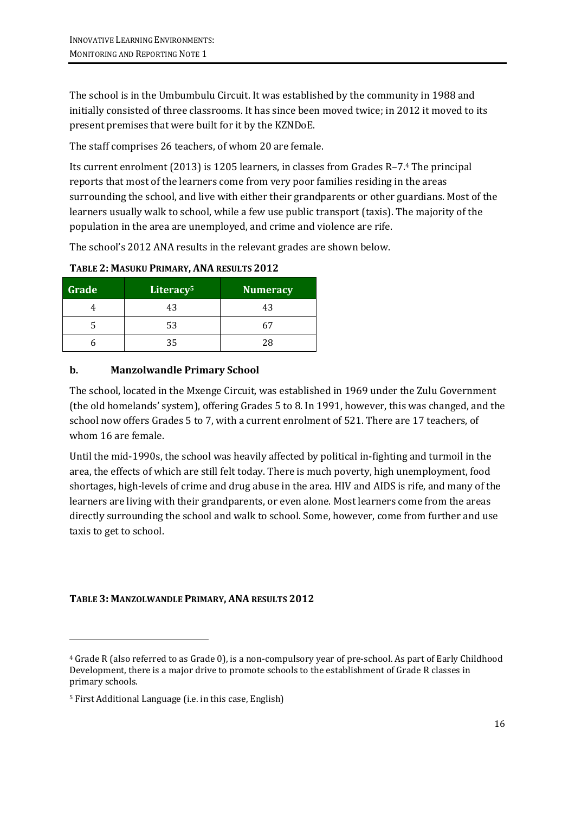The school is in the Umbumbulu Circuit. It was established by the community in 1988 and initially consisted of three classrooms. It has since been moved twice; in 2012 it moved to its present premises that were built for it by the KZNDoE.

The staff comprises 26 teachers, of whom 20 are female.

Its current enrolment (2013) is 1205 learners, in classes from Grades R–7.<sup>4</sup> The principal reports that most of the learners come from very poor families residing in the areas surrounding the school, and live with either their grandparents or other guardians. Most of the learners usually walk to school, while a few use public transport (taxis). The majority of the population in the area are unemployed, and crime and violence are rife.

The school's 2012 ANA results in the relevant grades are shown below.

| Grade | Literacy <sup>5</sup> | Numeracy |
|-------|-----------------------|----------|
|       | 43                    | 43       |
|       | 53                    | 61       |
|       | 35                    | 28       |

**TABLE 2: MASUKU PRIMARY, ANA RESULTS 2012**

### **b. Manzolwandle Primary School**

The school, located in the Mxenge Circuit, was established in 1969 under the Zulu Government (the old homelands' system), offering Grades 5 to 8. In 1991, however, this was changed, and the school now offers Grades 5 to 7, with a current enrolment of 521. There are 17 teachers, of whom 16 are female.

Until the mid-1990s, the school was heavily affected by political in-fighting and turmoil in the area, the effects of which are still felt today. There is much poverty, high unemployment, food shortages, high-levels of crime and drug abuse in the area. HIV and AIDS is rife, and many of the learners are living with their grandparents, or even alone. Most learners come from the areas directly surrounding the school and walk to school. Some, however, come from further and use taxis to get to school.

#### **TABLE 3: MANZOLWANDLE PRIMARY, ANA RESULTS 2012**

-

<sup>4</sup> Grade R (also referred to as Grade 0), is a non-compulsory year of pre-school. As part of Early Childhood Development, there is a major drive to promote schools to the establishment of Grade R classes in primary schools.

<sup>5</sup> First Additional Language (i.e. in this case, English)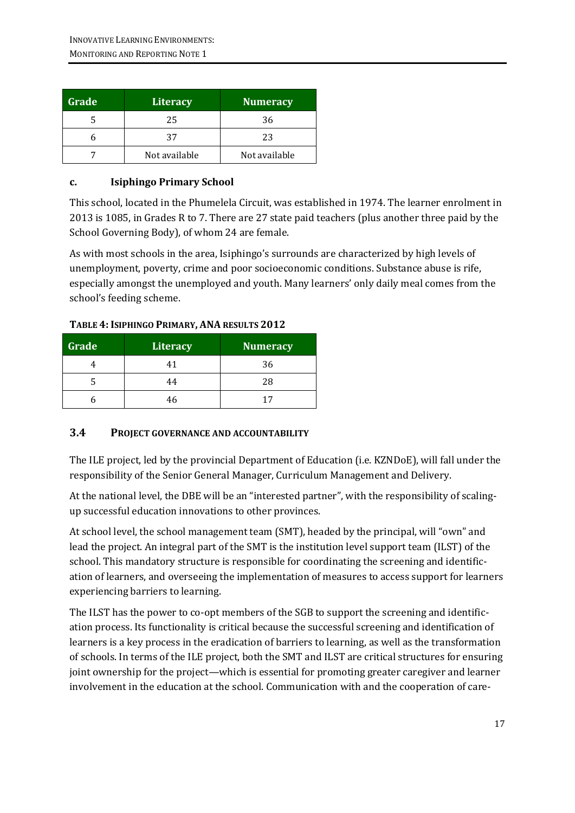| Grade | <b>Literacy</b> | <b>Numeracy</b> |
|-------|-----------------|-----------------|
|       | 25              | 36              |
|       | 37              | 23              |
|       | Not available   | Not available   |

#### **c. Isiphingo Primary School**

This school, located in the Phumelela Circuit, was established in 1974. The learner enrolment in 2013 is 1085, in Grades R to 7. There are 27 state paid teachers (plus another three paid by the School Governing Body), of whom 24 are female.

As with most schools in the area, Isiphingo's surrounds are characterized by high levels of unemployment, poverty, crime and poor socioeconomic conditions. Substance abuse is rife, especially amongst the unemployed and youth. Many learners' only daily meal comes from the school's feeding scheme.

| Grade | Literacy | Numeracy |
|-------|----------|----------|
|       | 41       | 36       |
|       | 44       | 28       |
|       | 46       | 17       |

#### **TABLE 4: ISIPHINGO PRIMARY, ANA RESULTS 2012**

#### **3.4 PROJECT GOVERNANCE AND ACCOUNTABILITY**

The ILE project, led by the provincial Department of Education (i.e. KZNDoE), will fall under the responsibility of the Senior General Manager, Curriculum Management and Delivery.

At the national level, the DBE will be an "interested partner", with the responsibility of scalingup successful education innovations to other provinces.

At school level, the school management team (SMT), headed by the principal, will "own" and lead the project. An integral part of the SMT is the institution level support team (ILST) of the school. This mandatory structure is responsible for coordinating the screening and identification of learners, and overseeing the implementation of measures to access support for learners experiencing barriers to learning.

The ILST has the power to co-opt members of the SGB to support the screening and identification process. Its functionality is critical because the successful screening and identification of learners is a key process in the eradication of barriers to learning, as well as the transformation of schools. In terms of the ILE project, both the SMT and ILST are critical structures for ensuring joint ownership for the project—which is essential for promoting greater caregiver and learner involvement in the education at the school. Communication with and the cooperation of care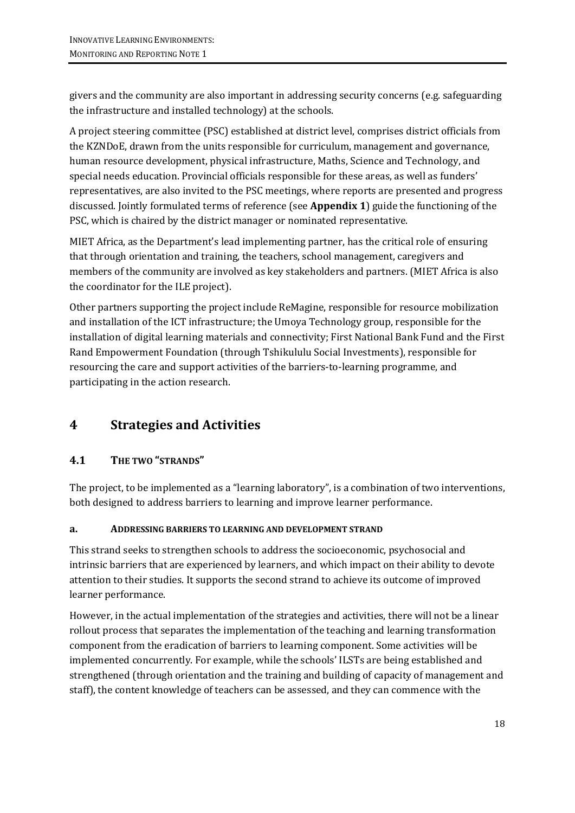givers and the community are also important in addressing security concerns (e.g. safeguarding the infrastructure and installed technology) at the schools.

A project steering committee (PSC) established at district level, comprises district officials from the KZNDoE, drawn from the units responsible for curriculum, management and governance, human resource development, physical infrastructure, Maths, Science and Technology, and special needs education. Provincial officials responsible for these areas, as well as funders' representatives, are also invited to the PSC meetings, where reports are presented and progress discussed. Jointly formulated terms of reference (see **Appendix 1**) guide the functioning of the PSC, which is chaired by the district manager or nominated representative.

MIET Africa, as the Department's lead implementing partner, has the critical role of ensuring that through orientation and training, the teachers, school management, caregivers and members of the community are involved as key stakeholders and partners. (MIET Africa is also the coordinator for the ILE project).

Other partners supporting the project include ReMagine, responsible for resource mobilization and installation of the ICT infrastructure; the Umoya Technology group, responsible for the installation of digital learning materials and connectivity; First National Bank Fund and the First Rand Empowerment Foundation (through Tshikululu Social Investments), responsible for resourcing the care and support activities of the barriers-to-learning programme, and participating in the action research.

## **4 Strategies and Activities**

### **4.1 THE TWO "STRANDS"**

The project, to be implemented as a "learning laboratory", is a combination of two interventions, both designed to address barriers to learning and improve learner performance.

#### **a. ADDRESSING BARRIERS TO LEARNING AND DEVELOPMENT STRAND**

This strand seeks to strengthen schools to address the socioeconomic, psychosocial and intrinsic barriers that are experienced by learners, and which impact on their ability to devote attention to their studies. It supports the second strand to achieve its outcome of improved learner performance.

However, in the actual implementation of the strategies and activities, there will not be a linear rollout process that separates the implementation of the teaching and learning transformation component from the eradication of barriers to learning component. Some activities will be implemented concurrently. For example, while the schools' ILSTs are being established and strengthened (through orientation and the training and building of capacity of management and staff), the content knowledge of teachers can be assessed, and they can commence with the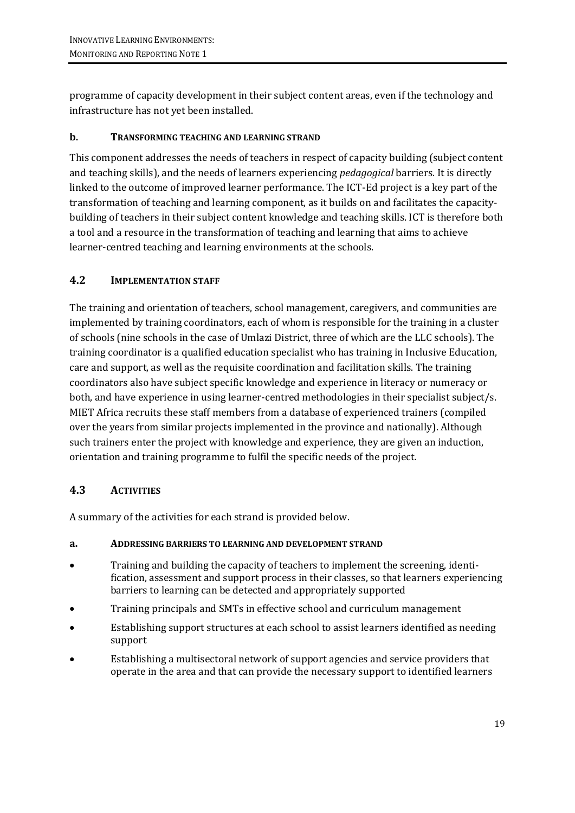programme of capacity development in their subject content areas, even if the technology and infrastructure has not yet been installed.

#### **b. TRANSFORMING TEACHING AND LEARNING STRAND**

This component addresses the needs of teachers in respect of capacity building (subject content and teaching skills), and the needs of learners experiencing *pedagogical* barriers. It is directly linked to the outcome of improved learner performance. The ICT-Ed project is a key part of the transformation of teaching and learning component, as it builds on and facilitates the capacitybuilding of teachers in their subject content knowledge and teaching skills. ICT is therefore both a tool and a resource in the transformation of teaching and learning that aims to achieve learner-centred teaching and learning environments at the schools.

### **4.2 IMPLEMENTATION STAFF**

The training and orientation of teachers, school management, caregivers, and communities are implemented by training coordinators, each of whom is responsible for the training in a cluster of schools (nine schools in the case of Umlazi District, three of which are the LLC schools). The training coordinator is a qualified education specialist who has training in Inclusive Education, care and support, as well as the requisite coordination and facilitation skills. The training coordinators also have subject specific knowledge and experience in literacy or numeracy or both, and have experience in using learner-centred methodologies in their specialist subject/s. MIET Africa recruits these staff members from a database of experienced trainers (compiled over the years from similar projects implemented in the province and nationally). Although such trainers enter the project with knowledge and experience, they are given an induction, orientation and training programme to fulfil the specific needs of the project.

#### **4.3 ACTIVITIES**

A summary of the activities for each strand is provided below.

#### **a. ADDRESSING BARRIERS TO LEARNING AND DEVELOPMENT STRAND**

- Training and building the capacity of teachers to implement the screening, identification, assessment and support process in their classes, so that learners experiencing barriers to learning can be detected and appropriately supported
- Training principals and SMTs in effective school and curriculum management
- Establishing support structures at each school to assist learners identified as needing support
- Establishing a multisectoral network of support agencies and service providers that operate in the area and that can provide the necessary support to identified learners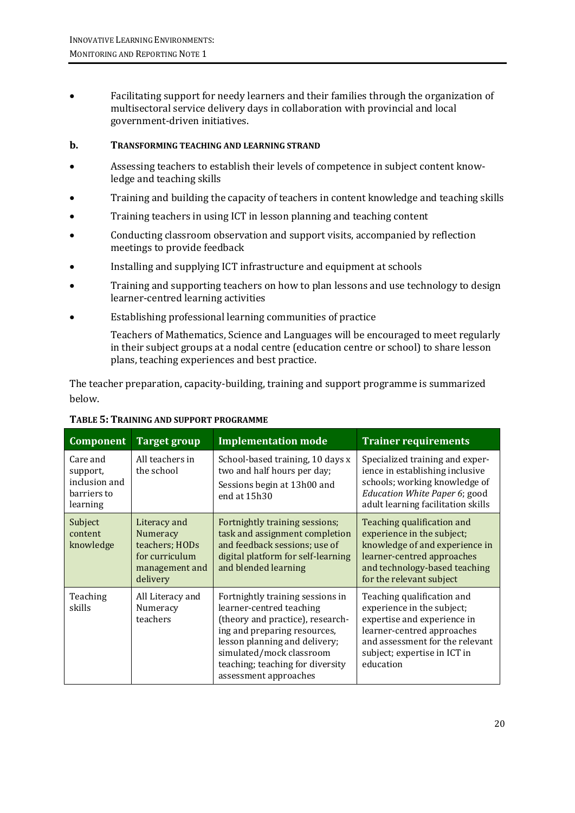Facilitating support for needy learners and their families through the organization of multisectoral service delivery days in collaboration with provincial and local government-driven initiatives.

#### **b. TRANSFORMING TEACHING AND LEARNING STRAND**

- Assessing teachers to establish their levels of competence in subject content knowledge and teaching skills
- Training and building the capacity of teachers in content knowledge and teaching skills
- Training teachers in using ICT in lesson planning and teaching content
- Conducting classroom observation and support visits, accompanied by reflection meetings to provide feedback
- Installing and supplying ICT infrastructure and equipment at schools
- Training and supporting teachers on how to plan lessons and use technology to design learner-centred learning activities
- Establishing professional learning communities of practice

Teachers of Mathematics, Science and Languages will be encouraged to meet regularly in their subject groups at a nodal centre (education centre or school) to share lesson plans, teaching experiences and best practice.

The teacher preparation, capacity-building, training and support programme is summarized below.

| <b>Component</b>                                                 | <b>Target group</b>                                                                        | <b>Implementation mode</b>                                                                                                                                                                                                                                 | <b>Trainer requirements</b>                                                                                                                                                                           |
|------------------------------------------------------------------|--------------------------------------------------------------------------------------------|------------------------------------------------------------------------------------------------------------------------------------------------------------------------------------------------------------------------------------------------------------|-------------------------------------------------------------------------------------------------------------------------------------------------------------------------------------------------------|
| Care and<br>support,<br>inclusion and<br>barriers to<br>learning | All teachers in<br>the school                                                              | School-based training, 10 days x<br>two and half hours per day;<br>Sessions begin at 13h00 and<br>end at 15h30                                                                                                                                             | Specialized training and exper-<br>ience in establishing inclusive<br>schools; working knowledge of<br>Education White Paper 6; good<br>adult learning facilitation skills                            |
| Subject<br>content<br>knowledge                                  | Literacy and<br>Numeracy<br>teachers; HODs<br>for curriculum<br>management and<br>delivery | Fortnightly training sessions;<br>task and assignment completion<br>and feedback sessions; use of<br>digital platform for self-learning<br>and blended learning                                                                                            | Teaching qualification and<br>experience in the subject;<br>knowledge of and experience in<br>learner-centred approaches<br>and technology-based teaching<br>for the relevant subject                 |
| Teaching<br>skills                                               | All Literacy and<br>Numeracy<br>teachers                                                   | Fortnightly training sessions in<br>learner-centred teaching<br>(theory and practice), research-<br>ing and preparing resources,<br>lesson planning and delivery;<br>simulated/mock classroom<br>teaching; teaching for diversity<br>assessment approaches | Teaching qualification and<br>experience in the subject;<br>expertise and experience in<br>learner-centred approaches<br>and assessment for the relevant<br>subject; expertise in ICT in<br>education |

#### **TABLE 5: TRAINING AND SUPPORT PROGRAMME**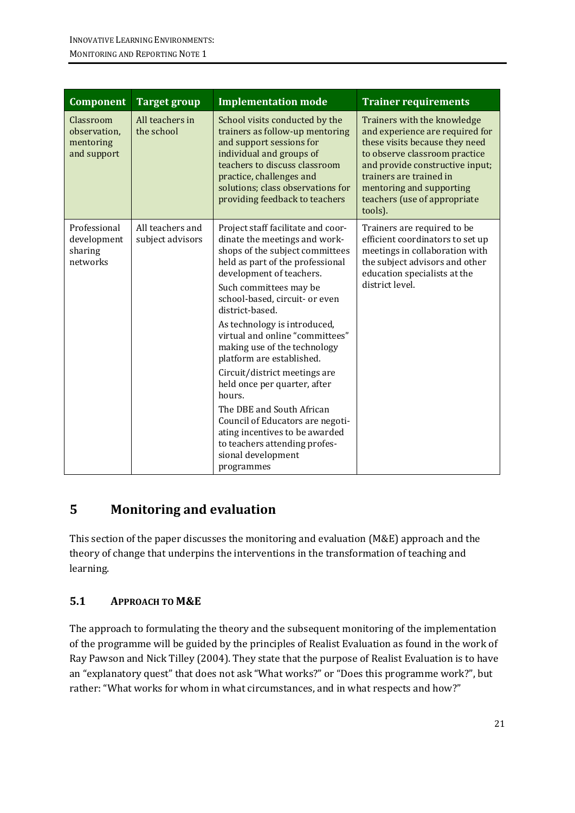| <b>Component</b>                                      | <b>Target group</b>                  | <b>Implementation mode</b>                                                                                                                                                                                                                                    | <b>Trainer requirements</b>                                                                                                                                                                                                                                            |
|-------------------------------------------------------|--------------------------------------|---------------------------------------------------------------------------------------------------------------------------------------------------------------------------------------------------------------------------------------------------------------|------------------------------------------------------------------------------------------------------------------------------------------------------------------------------------------------------------------------------------------------------------------------|
| Classroom<br>observation,<br>mentoring<br>and support | All teachers in<br>the school        | School visits conducted by the<br>trainers as follow-up mentoring<br>and support sessions for<br>individual and groups of<br>teachers to discuss classroom<br>practice, challenges and<br>solutions; class observations for<br>providing feedback to teachers | Trainers with the knowledge<br>and experience are required for<br>these visits because they need<br>to observe classroom practice<br>and provide constructive input;<br>trainers are trained in<br>mentoring and supporting<br>teachers (use of appropriate<br>tools). |
| Professional<br>development<br>sharing<br>networks    | All teachers and<br>subject advisors | Project staff facilitate and coor-<br>dinate the meetings and work-<br>shops of the subject committees<br>held as part of the professional<br>development of teachers.<br>Such committees may be<br>school-based, circuit- or even<br>district-based.         | Trainers are required to be<br>efficient coordinators to set up<br>meetings in collaboration with<br>the subject advisors and other<br>education specialists at the<br>district level.                                                                                 |
|                                                       |                                      | As technology is introduced,<br>virtual and online "committees"<br>making use of the technology<br>platform are established.                                                                                                                                  |                                                                                                                                                                                                                                                                        |
|                                                       |                                      | Circuit/district meetings are<br>held once per quarter, after<br>hours.                                                                                                                                                                                       |                                                                                                                                                                                                                                                                        |
|                                                       |                                      | The DBE and South African<br>Council of Educators are negoti-<br>ating incentives to be awarded<br>to teachers attending profes-<br>sional development<br>programmes                                                                                          |                                                                                                                                                                                                                                                                        |

## **5 Monitoring and evaluation**

This section of the paper discusses the monitoring and evaluation (M&E) approach and the theory of change that underpins the interventions in the transformation of teaching and learning.

### **5.1 APPROACH TO M&E**

The approach to formulating the theory and the subsequent monitoring of the implementation of the programme will be guided by the principles of Realist Evaluation as found in the work of Ray Pawson and Nick Tilley (2004). They state that the purpose of Realist Evaluation is to have an "explanatory quest" that does not ask "What works?" or "Does this programme work?", but rather: "What works for whom in what circumstances, and in what respects and how?"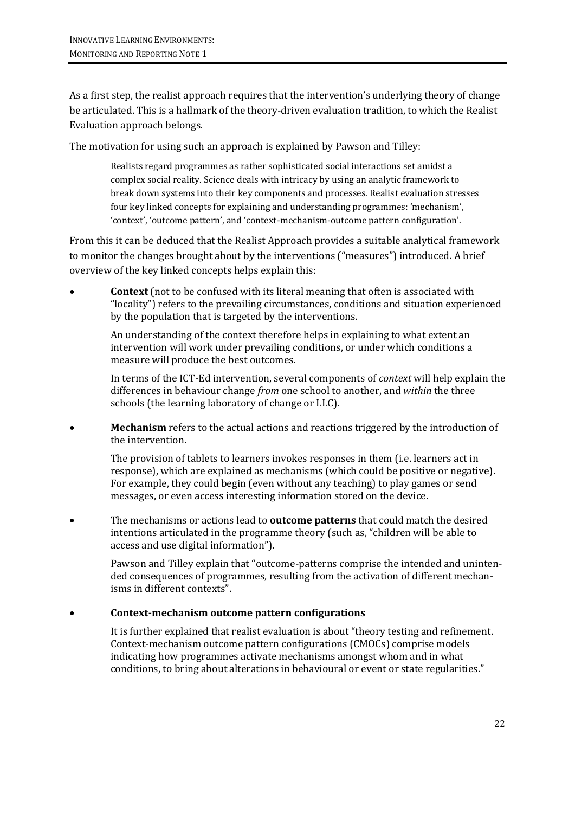As a first step, the realist approach requires that the intervention's underlying theory of change be articulated. This is a hallmark of the theory-driven evaluation tradition, to which the Realist Evaluation approach belongs.

The motivation for using such an approach is explained by Pawson and Tilley:

Realists regard programmes as rather sophisticated social interactions set amidst a complex social reality. Science deals with intricacy by using an analytic framework to break down systems into their key components and processes. Realist evaluation stresses four key linked concepts for explaining and understanding programmes: 'mechanism', 'context', 'outcome pattern', and 'context-mechanism-outcome pattern configuration'.

From this it can be deduced that the Realist Approach provides a suitable analytical framework to monitor the changes brought about by the interventions ("measures") introduced. A brief overview of the key linked concepts helps explain this:

 **Context** (not to be confused with its literal meaning that often is associated with "locality") refers to the prevailing circumstances, conditions and situation experienced by the population that is targeted by the interventions.

An understanding of the context therefore helps in explaining to what extent an intervention will work under prevailing conditions, or under which conditions a measure will produce the best outcomes.

In terms of the ICT-Ed intervention, several components of *context* will help explain the differences in behaviour change *from* one school to another, and *within* the three schools (the learning laboratory of change or LLC).

 **Mechanism** refers to the actual actions and reactions triggered by the introduction of the intervention.

The provision of tablets to learners invokes responses in them (i.e. learners act in response), which are explained as mechanisms (which could be positive or negative). For example, they could begin (even without any teaching) to play games or send messages, or even access interesting information stored on the device.

 The mechanisms or actions lead to **outcome patterns** that could match the desired intentions articulated in the programme theory (such as, "children will be able to access and use digital information").

Pawson and Tilley explain that "outcome-patterns comprise the intended and unintended consequences of programmes, resulting from the activation of different mechanisms in different contexts".

#### **Context-mechanism outcome pattern configurations**

It is further explained that realist evaluation is about "theory testing and refinement. Context-mechanism outcome pattern configurations (CMOCs) comprise models indicating how programmes activate mechanisms amongst whom and in what conditions, to bring about alterations in behavioural or event or state regularities."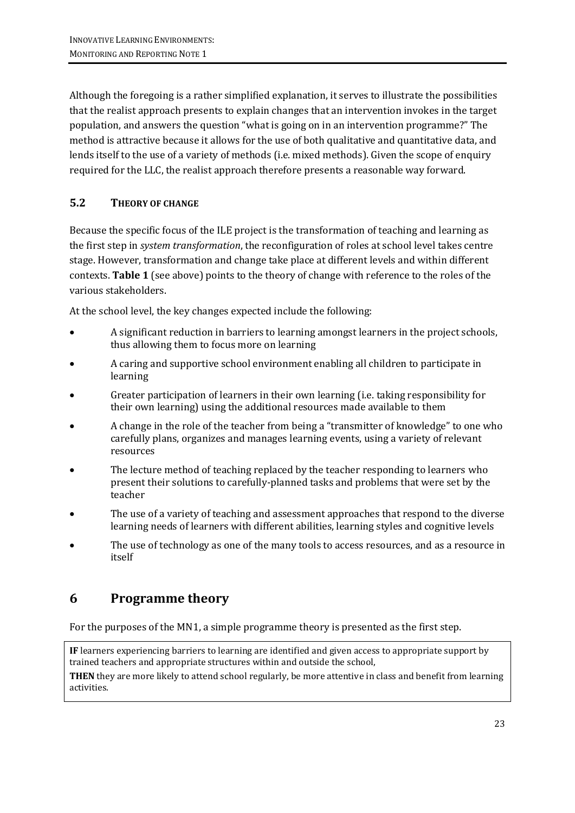Although the foregoing is a rather simplified explanation, it serves to illustrate the possibilities that the realist approach presents to explain changes that an intervention invokes in the target population, and answers the question "what is going on in an intervention programme?" The method is attractive because it allows for the use of both qualitative and quantitative data, and lends itself to the use of a variety of methods (i.e. mixed methods). Given the scope of enquiry required for the LLC, the realist approach therefore presents a reasonable way forward.

### **5.2 THEORY OF CHANGE**

Because the specific focus of the ILE project is the transformation of teaching and learning as the first step in *system transformation*, the reconfiguration of roles at school level takes centre stage. However, transformation and change take place at different levels and within different contexts. **Table 1** (see above) points to the theory of change with reference to the roles of the various stakeholders.

At the school level, the key changes expected include the following:

- A significant reduction in barriers to learning amongst learners in the project schools, thus allowing them to focus more on learning
- A caring and supportive school environment enabling all children to participate in learning
- Greater participation of learners in their own learning (i.e. taking responsibility for their own learning) using the additional resources made available to them
- A change in the role of the teacher from being a "transmitter of knowledge" to one who carefully plans, organizes and manages learning events, using a variety of relevant resources
- The lecture method of teaching replaced by the teacher responding to learners who present their solutions to carefully-planned tasks and problems that were set by the teacher
- The use of a variety of teaching and assessment approaches that respond to the diverse learning needs of learners with different abilities, learning styles and cognitive levels
- The use of technology as one of the many tools to access resources, and as a resource in itself

## **6 Programme theory**

For the purposes of the MN1, a simple programme theory is presented as the first step.

**IF** learners experiencing barriers to learning are identified and given access to appropriate support by trained teachers and appropriate structures within and outside the school,

**THEN** they are more likely to attend school regularly, be more attentive in class and benefit from learning activities.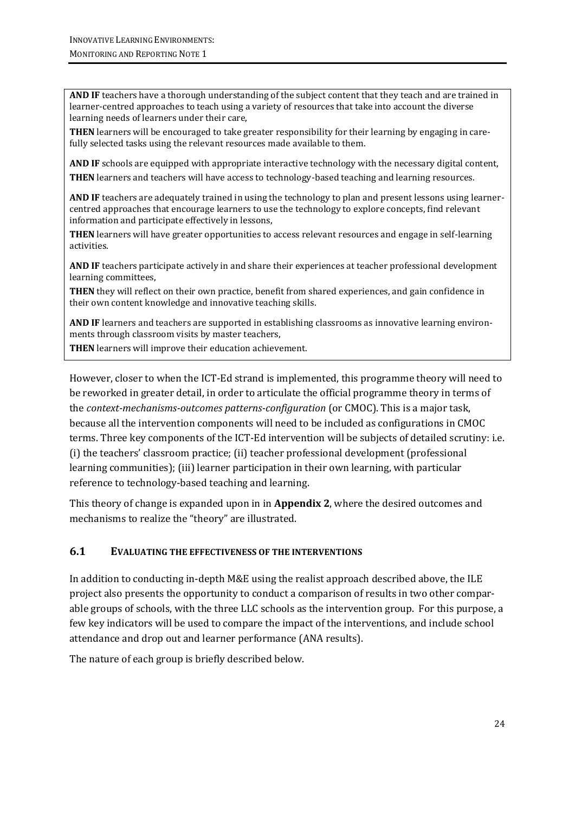**AND IF** teachers have a thorough understanding of the subject content that they teach and are trained in learner-centred approaches to teach using a variety of resources that take into account the diverse learning needs of learners under their care,

**THEN** learners will be encouraged to take greater responsibility for their learning by engaging in carefully selected tasks using the relevant resources made available to them.

**AND IF** schools are equipped with appropriate interactive technology with the necessary digital content,

**THEN** learners and teachers will have access to technology-based teaching and learning resources.

**AND IF** teachers are adequately trained in using the technology to plan and present lessons using learnercentred approaches that encourage learners to use the technology to explore concepts, find relevant information and participate effectively in lessons,

**THEN** learners will have greater opportunities to access relevant resources and engage in self-learning activities.

**AND IF** teachers participate actively in and share their experiences at teacher professional development learning committees,

**THEN** they will reflect on their own practice, benefit from shared experiences, and gain confidence in their own content knowledge and innovative teaching skills.

**AND IF** learners and teachers are supported in establishing classrooms as innovative learning environments through classroom visits by master teachers,

**THEN** learners will improve their education achievement.

However, closer to when the ICT-Ed strand is implemented, this programme theory will need to be reworked in greater detail, in order to articulate the official programme theory in terms of the *context-mechanisms-outcomes patterns-configuration* (or CMOC). This is a major task, because all the intervention components will need to be included as configurations in CMOC terms. Three key components of the ICT-Ed intervention will be subjects of detailed scrutiny: i.e. (i) the teachers' classroom practice; (ii) teacher professional development (professional learning communities); (iii) learner participation in their own learning, with particular reference to technology-based teaching and learning.

This theory of change is expanded upon in in **Appendix 2**, where the desired outcomes and mechanisms to realize the "theory" are illustrated.

#### **6.1 EVALUATING THE EFFECTIVENESS OF THE INTERVENTIONS**

In addition to conducting in-depth M&E using the realist approach described above, the ILE project also presents the opportunity to conduct a comparison of results in two other comparable groups of schools, with the three LLC schools as the intervention group. For this purpose, a few key indicators will be used to compare the impact of the interventions, and include school attendance and drop out and learner performance (ANA results).

The nature of each group is briefly described below.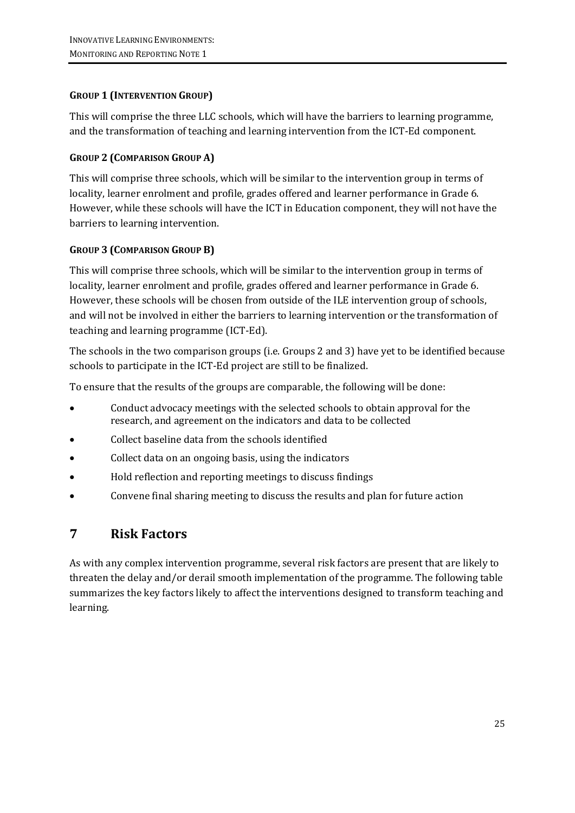### **GROUP 1 (INTERVENTION GROUP)**

This will comprise the three LLC schools, which will have the barriers to learning programme, and the transformation of teaching and learning intervention from the ICT-Ed component.

### **GROUP 2 (COMPARISON GROUP A)**

This will comprise three schools, which will be similar to the intervention group in terms of locality, learner enrolment and profile, grades offered and learner performance in Grade 6. However, while these schools will have the ICT in Education component, they will not have the barriers to learning intervention.

### **GROUP 3 (COMPARISON GROUP B)**

This will comprise three schools, which will be similar to the intervention group in terms of locality, learner enrolment and profile, grades offered and learner performance in Grade 6. However, these schools will be chosen from outside of the ILE intervention group of schools, and will not be involved in either the barriers to learning intervention or the transformation of teaching and learning programme (ICT-Ed).

The schools in the two comparison groups (i.e. Groups 2 and 3) have yet to be identified because schools to participate in the ICT-Ed project are still to be finalized.

To ensure that the results of the groups are comparable, the following will be done:

- Conduct advocacy meetings with the selected schools to obtain approval for the research, and agreement on the indicators and data to be collected
- Collect baseline data from the schools identified
- Collect data on an ongoing basis, using the indicators
- Hold reflection and reporting meetings to discuss findings
- Convene final sharing meeting to discuss the results and plan for future action

## **7 Risk Factors**

As with any complex intervention programme, several risk factors are present that are likely to threaten the delay and/or derail smooth implementation of the programme. The following table summarizes the key factors likely to affect the interventions designed to transform teaching and learning.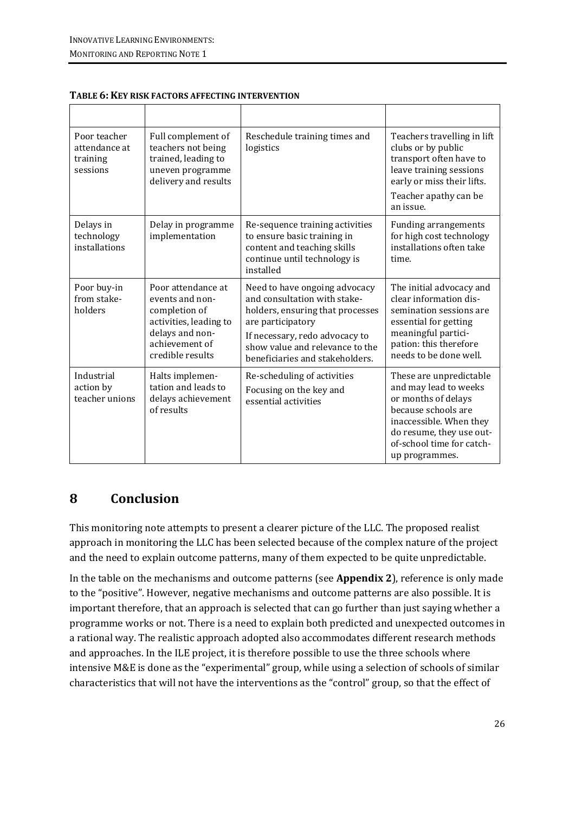| Poor teacher<br>attendance at<br>training<br>sessions | Full complement of<br>teachers not being<br>trained, leading to<br>uneven programme<br>delivery and results                               | Reschedule training times and<br>logistics                                                                                                                                                                                     | Teachers travelling in lift<br>clubs or by public<br>transport often have to<br>leave training sessions<br>early or miss their lifts.<br>Teacher apathy can be<br>an issue.                          |
|-------------------------------------------------------|-------------------------------------------------------------------------------------------------------------------------------------------|--------------------------------------------------------------------------------------------------------------------------------------------------------------------------------------------------------------------------------|------------------------------------------------------------------------------------------------------------------------------------------------------------------------------------------------------|
| Delays in<br>technology<br>installations              | Delay in programme<br>implementation                                                                                                      | Re-sequence training activities<br>to ensure basic training in<br>content and teaching skills<br>continue until technology is<br>installed                                                                                     | <b>Funding arrangements</b><br>for high cost technology<br>installations often take<br>time.                                                                                                         |
| Poor buy-in<br>from stake-<br>holders                 | Poor attendance at<br>events and non-<br>completion of<br>activities, leading to<br>delays and non-<br>achievement of<br>credible results | Need to have ongoing advocacy<br>and consultation with stake-<br>holders, ensuring that processes<br>are participatory<br>If necessary, redo advocacy to<br>show value and relevance to the<br>beneficiaries and stakeholders. | The initial advocacy and<br>clear information dis-<br>semination sessions are<br>essential for getting<br>meaningful partici-<br>pation: this therefore<br>needs to be done well.                    |
| Industrial<br>action by<br>teacher unions             | Halts implemen-<br>tation and leads to<br>delays achievement<br>of results                                                                | Re-scheduling of activities<br>Focusing on the key and<br>essential activities                                                                                                                                                 | These are unpredictable<br>and may lead to weeks<br>or months of delays<br>because schools are<br>inaccessible. When they<br>do resume, they use out-<br>of-school time for catch-<br>up programmes. |

#### **TABLE 6: KEY RISK FACTORS AFFECTING INTERVENTION**

### **8 Conclusion**

This monitoring note attempts to present a clearer picture of the LLC. The proposed realist approach in monitoring the LLC has been selected because of the complex nature of the project and the need to explain outcome patterns, many of them expected to be quite unpredictable.

In the table on the mechanisms and outcome patterns (see **Appendix 2**), reference is only made to the "positive". However, negative mechanisms and outcome patterns are also possible. It is important therefore, that an approach is selected that can go further than just saying whether a programme works or not. There is a need to explain both predicted and unexpected outcomes in a rational way. The realistic approach adopted also accommodates different research methods and approaches. In the ILE project, it is therefore possible to use the three schools where intensive M&E is done as the "experimental" group, while using a selection of schools of similar characteristics that will not have the interventions as the "control" group, so that the effect of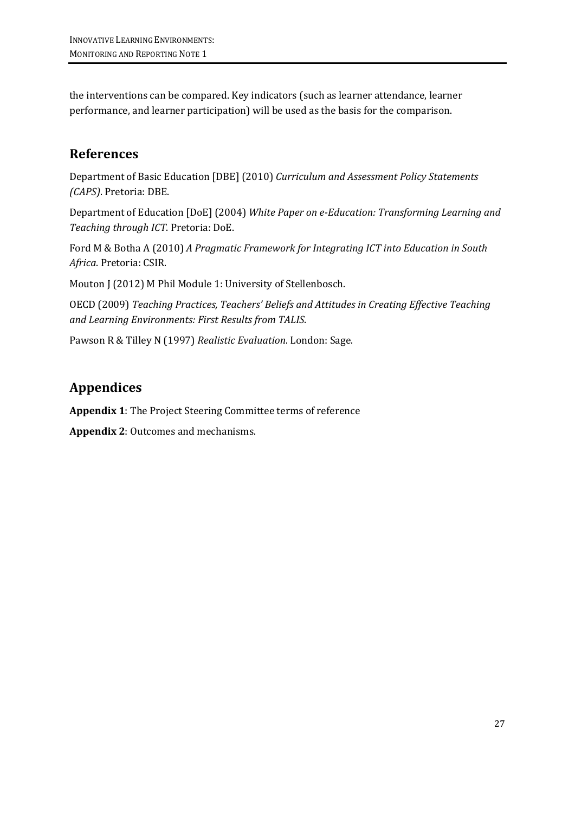the interventions can be compared. Key indicators (such as learner attendance, learner performance, and learner participation) will be used as the basis for the comparison.

## **References**

Department of Basic Education [DBE] (2010) *Curriculum and Assessment Policy Statements (CAPS)*. Pretoria: DBE.

Department of Education [DoE] (2004) *White Paper on e-Education: Transforming Learning and Teaching through ICT*. Pretoria: DoE.

Ford M & Botha A (2010) *A Pragmatic Framework for Integrating ICT into Education in South Africa*. Pretoria: CSIR.

Mouton J (2012) M Phil Module 1: University of Stellenbosch.

OECD (2009) *Teaching Practices, Teachers' Beliefs and Attitudes in Creating Effective Teaching and Learning Environments: First Results from TALIS*.

Pawson R & Tilley N (1997) *Realistic Evaluation*. London: Sage.

## **Appendices**

**Appendix 1**: The Project Steering Committee terms of reference

**Appendix 2**: Outcomes and mechanisms.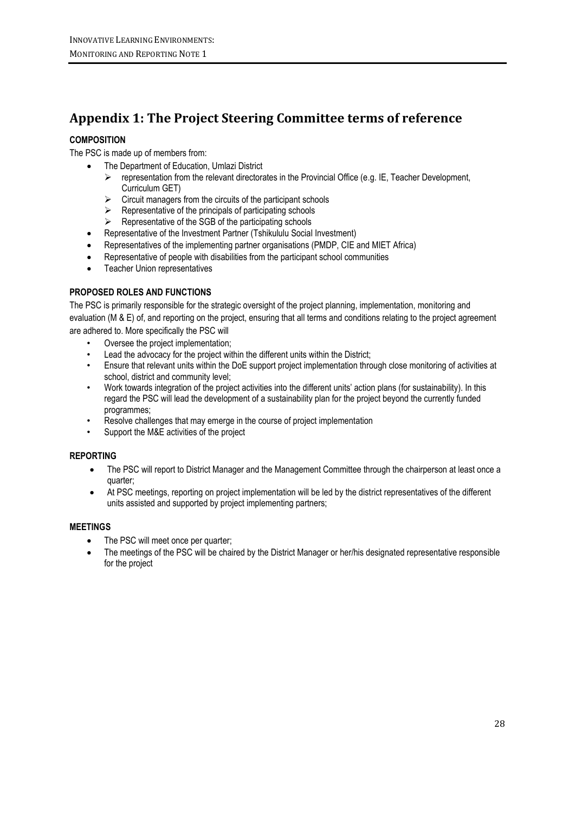## **Appendix 1: The Project Steering Committee terms of reference**

#### **COMPOSITION**

The PSC is made up of members from:

- The Department of Education, Umlazi District
	- $\triangleright$  representation from the relevant directorates in the Provincial Office (e.g. IE, Teacher Development, Curriculum GET)
	- $\triangleright$  Circuit managers from the circuits of the participant schools
	- $\triangleright$  Representative of the principals of participating schools
	- $\triangleright$  Representative of the SGB of the participating schools
- Representative of the Investment Partner (Tshikululu Social Investment)
- Representatives of the implementing partner organisations (PMDP, CIE and MIET Africa)
- Representative of people with disabilities from the participant school communities
- Teacher Union representatives

#### **PROPOSED ROLES AND FUNCTIONS**

The PSC is primarily responsible for the strategic oversight of the project planning, implementation, monitoring and evaluation (M & E) of, and reporting on the project, ensuring that all terms and conditions relating to the project agreement are adhered to. More specifically the PSC will

- Oversee the project implementation;
- Lead the advocacy for the project within the different units within the District;
- Ensure that relevant units within the DoE support project implementation through close monitoring of activities at school, district and community level;
- Work towards integration of the project activities into the different units' action plans (for sustainability). In this regard the PSC will lead the development of a sustainability plan for the project beyond the currently funded programmes;
- Resolve challenges that may emerge in the course of project implementation
- Support the M&E activities of the project

#### **REPORTING**

- The PSC will report to District Manager and the Management Committee through the chairperson at least once a quarter;
- At PSC meetings, reporting on project implementation will be led by the district representatives of the different units assisted and supported by project implementing partners;

#### **MEETINGS**

- The PSC will meet once per quarter;
- The meetings of the PSC will be chaired by the District Manager or her/his designated representative responsible for the project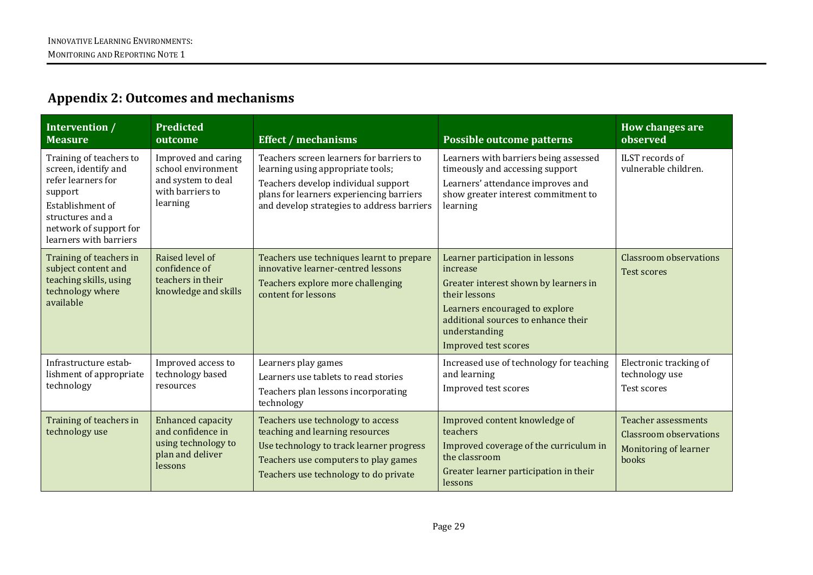## **Appendix 2: Outcomes and mechanisms**

| Intervention /<br><b>Measure</b>                                                                                                                                             | <b>Predicted</b><br>outcome                                                                         | <b>Effect / mechanisms</b>                                                                                                                                                                                     | Possible outcome patterns                                                                                                                                                                                                       | How changes are<br>observed                                                                          |
|------------------------------------------------------------------------------------------------------------------------------------------------------------------------------|-----------------------------------------------------------------------------------------------------|----------------------------------------------------------------------------------------------------------------------------------------------------------------------------------------------------------------|---------------------------------------------------------------------------------------------------------------------------------------------------------------------------------------------------------------------------------|------------------------------------------------------------------------------------------------------|
| Training of teachers to<br>screen, identify and<br>refer learners for<br>support<br>Establishment of<br>structures and a<br>network of support for<br>learners with barriers | Improved and caring<br>school environment<br>and system to deal<br>with barriers to<br>learning     | Teachers screen learners for barriers to<br>learning using appropriate tools;<br>Teachers develop individual support<br>plans for learners experiencing barriers<br>and develop strategies to address barriers | Learners with barriers being assessed<br>timeously and accessing support<br>Learners' attendance improves and<br>show greater interest commitment to<br>learning                                                                | ILST records of<br>vulnerable children.                                                              |
| Training of teachers in<br>subject content and<br>teaching skills, using<br>technology where<br>available                                                                    | Raised level of<br>confidence of<br>teachers in their<br>knowledge and skills                       | Teachers use techniques learnt to prepare<br>innovative learner-centred lessons<br>Teachers explore more challenging<br>content for lessons                                                                    | Learner participation in lessons<br>increase<br>Greater interest shown by learners in<br>their lessons<br>Learners encouraged to explore<br>additional sources to enhance their<br>understanding<br><b>Improved test scores</b> | <b>Classroom</b> observations<br>Test scores                                                         |
| Infrastructure estab-<br>lishment of appropriate<br>technology                                                                                                               | Improved access to<br>technology based<br>resources                                                 | Learners play games<br>Learners use tablets to read stories<br>Teachers plan lessons incorporating<br>technology                                                                                               | Increased use of technology for teaching<br>and learning<br>Improved test scores                                                                                                                                                | Electronic tracking of<br>technology use<br>Test scores                                              |
| Training of teachers in<br>technology use                                                                                                                                    | <b>Enhanced capacity</b><br>and confidence in<br>using technology to<br>plan and deliver<br>lessons | Teachers use technology to access<br>teaching and learning resources<br>Use technology to track learner progress<br>Teachers use computers to play games<br>Teachers use technology to do private              | Improved content knowledge of<br>teachers<br>Improved coverage of the curriculum in<br>the classroom<br>Greater learner participation in their<br>lessons                                                                       | <b>Teacher assessments</b><br><b>Classroom</b> observations<br><b>Monitoring of learner</b><br>books |